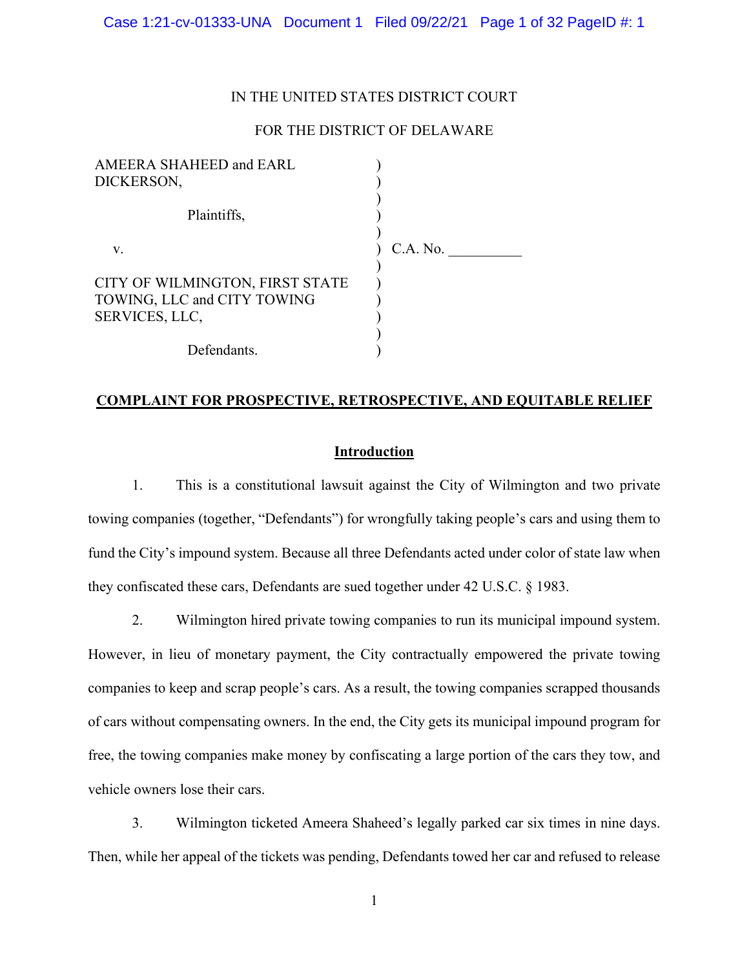## IN THE UNITED STATES DISTRICT COURT

# FOR THE DISTRICT OF DELAWARE

| AMEERA SHAHEED and EARL         |          |
|---------------------------------|----------|
| DICKERSON,                      |          |
|                                 |          |
| Plaintiffs,                     |          |
|                                 |          |
| V.                              | C.A. No. |
|                                 |          |
| CITY OF WILMINGTON, FIRST STATE |          |
| TOWING, LLC and CITY TOWING     |          |
| SERVICES, LLC,                  |          |
|                                 |          |
| Defendants.                     |          |

## **COMPLAINT FOR PROSPECTIVE, RETROSPECTIVE, AND EQUITABLE RELIEF**

# **Introduction**

1. This is a constitutional lawsuit against the City of Wilmington and two private towing companies (together, "Defendants") for wrongfully taking people's cars and using them to fund the City's impound system. Because all three Defendants acted under color of state law when they confiscated these cars, Defendants are sued together under 42 U.S.C. § 1983.

2. Wilmington hired private towing companies to run its municipal impound system. However, in lieu of monetary payment, the City contractually empowered the private towing companies to keep and scrap people's cars. As a result, the towing companies scrapped thousands of cars without compensating owners. In the end, the City gets its municipal impound program for free, the towing companies make money by confiscating a large portion of the cars they tow, and vehicle owners lose their cars.

3. Wilmington ticketed Ameera Shaheed's legally parked car six times in nine days. Then, while her appeal of the tickets was pending, Defendants towed her car and refused to release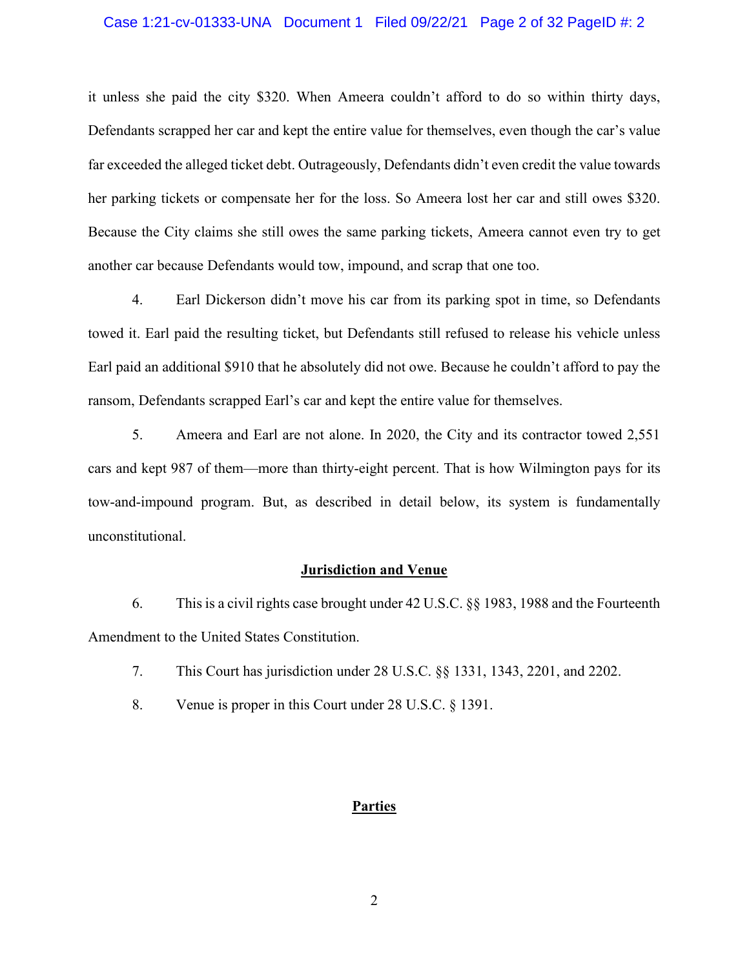#### Case 1:21-cv-01333-UNA Document 1 Filed 09/22/21 Page 2 of 32 PageID #: 2

it unless she paid the city \$320. When Ameera couldn't afford to do so within thirty days, Defendants scrapped her car and kept the entire value for themselves, even though the car's value far exceeded the alleged ticket debt. Outrageously, Defendants didn't even credit the value towards her parking tickets or compensate her for the loss. So Ameera lost her car and still owes \$320. Because the City claims she still owes the same parking tickets, Ameera cannot even try to get another car because Defendants would tow, impound, and scrap that one too.

4. Earl Dickerson didn't move his car from its parking spot in time, so Defendants towed it. Earl paid the resulting ticket, but Defendants still refused to release his vehicle unless Earl paid an additional \$910 that he absolutely did not owe. Because he couldn't afford to pay the ransom, Defendants scrapped Earl's car and kept the entire value for themselves.

5. Ameera and Earl are not alone. In 2020, the City and its contractor towed 2,551 cars and kept 987 of them—more than thirty-eight percent. That is how Wilmington pays for its tow-and-impound program. But, as described in detail below, its system is fundamentally unconstitutional.

#### **Jurisdiction and Venue**

6. This is a civil rights case brought under 42 U.S.C. §§ 1983, 1988 and the Fourteenth Amendment to the United States Constitution.

- 7. This Court has jurisdiction under 28 U.S.C. §§ 1331, 1343, 2201, and 2202.
- 8. Venue is proper in this Court under 28 U.S.C. § 1391.

# **Parties**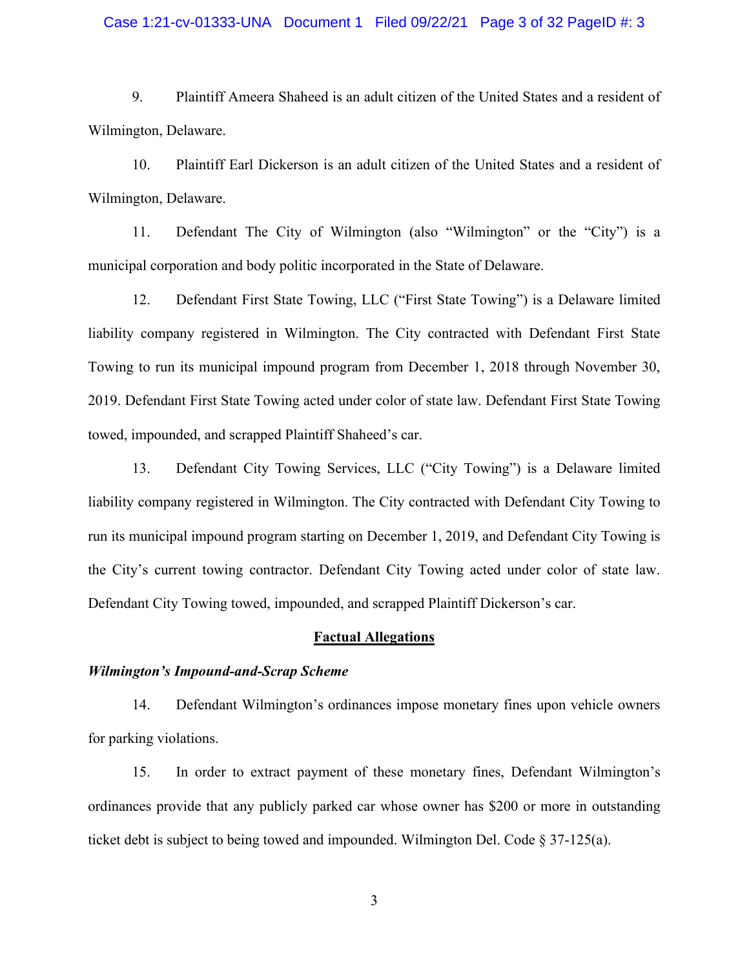#### Case 1:21-cv-01333-UNA Document 1 Filed 09/22/21 Page 3 of 32 PageID #: 3

9. Plaintiff Ameera Shaheed is an adult citizen of the United States and a resident of Wilmington, Delaware.

10. Plaintiff Earl Dickerson is an adult citizen of the United States and a resident of Wilmington, Delaware.

11. Defendant The City of Wilmington (also "Wilmington" or the "City") is a municipal corporation and body politic incorporated in the State of Delaware.

12. Defendant First State Towing, LLC ("First State Towing") is a Delaware limited liability company registered in Wilmington. The City contracted with Defendant First State Towing to run its municipal impound program from December 1, 2018 through November 30, 2019. Defendant First State Towing acted under color of state law. Defendant First State Towing towed, impounded, and scrapped Plaintiff Shaheed's car.

13. Defendant City Towing Services, LLC ("City Towing") is a Delaware limited liability company registered in Wilmington. The City contracted with Defendant City Towing to run its municipal impound program starting on December 1, 2019, and Defendant City Towing is the City's current towing contractor. Defendant City Towing acted under color of state law. Defendant City Towing towed, impounded, and scrapped Plaintiff Dickerson's car.

#### **Factual Allegations**

#### *Wilmington's Impound-and-Scrap Scheme*

14. Defendant Wilmington's ordinances impose monetary fines upon vehicle owners for parking violations.

15. In order to extract payment of these monetary fines, Defendant Wilmington's ordinances provide that any publicly parked car whose owner has \$200 or more in outstanding ticket debt is subject to being towed and impounded. Wilmington Del. Code § 37-125(a).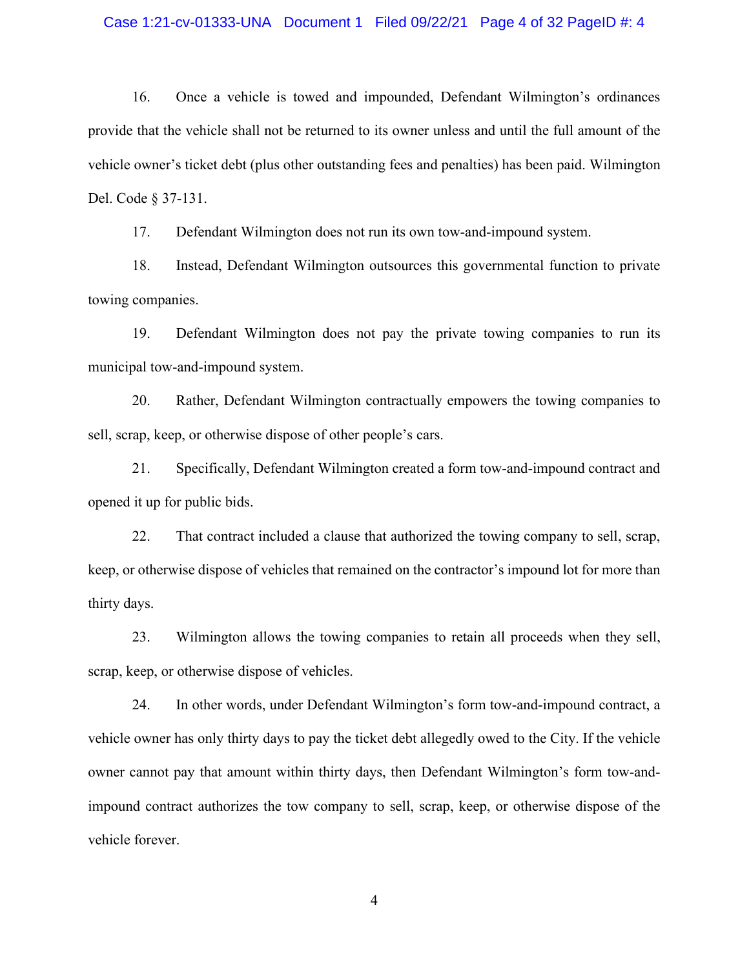#### Case 1:21-cv-01333-UNA Document 1 Filed 09/22/21 Page 4 of 32 PageID #: 4

16. Once a vehicle is towed and impounded, Defendant Wilmington's ordinances provide that the vehicle shall not be returned to its owner unless and until the full amount of the vehicle owner's ticket debt (plus other outstanding fees and penalties) has been paid. Wilmington Del. Code § 37-131.

17. Defendant Wilmington does not run its own tow-and-impound system.

18. Instead, Defendant Wilmington outsources this governmental function to private towing companies.

19. Defendant Wilmington does not pay the private towing companies to run its municipal tow-and-impound system.

20. Rather, Defendant Wilmington contractually empowers the towing companies to sell, scrap, keep, or otherwise dispose of other people's cars.

21. Specifically, Defendant Wilmington created a form tow-and-impound contract and opened it up for public bids.

22. That contract included a clause that authorized the towing company to sell, scrap, keep, or otherwise dispose of vehicles that remained on the contractor's impound lot for more than thirty days.

23. Wilmington allows the towing companies to retain all proceeds when they sell, scrap, keep, or otherwise dispose of vehicles.

24. In other words, under Defendant Wilmington's form tow-and-impound contract, a vehicle owner has only thirty days to pay the ticket debt allegedly owed to the City. If the vehicle owner cannot pay that amount within thirty days, then Defendant Wilmington's form tow-andimpound contract authorizes the tow company to sell, scrap, keep, or otherwise dispose of the vehicle forever.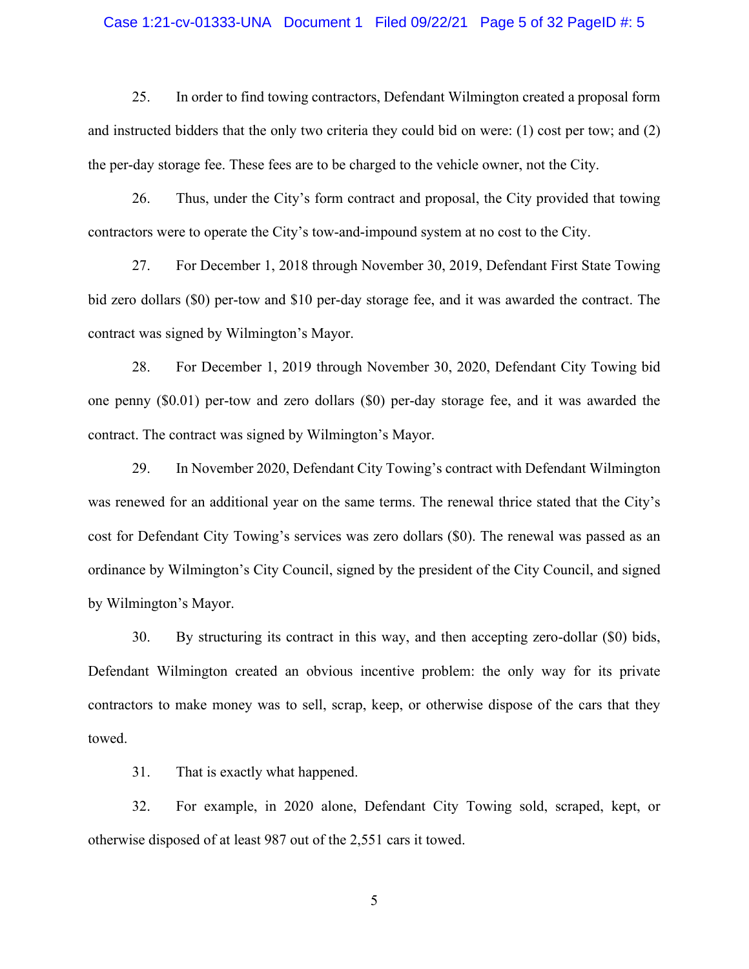#### Case 1:21-cv-01333-UNA Document 1 Filed 09/22/21 Page 5 of 32 PageID #: 5

25. In order to find towing contractors, Defendant Wilmington created a proposal form and instructed bidders that the only two criteria they could bid on were: (1) cost per tow; and (2) the per-day storage fee. These fees are to be charged to the vehicle owner, not the City.

26. Thus, under the City's form contract and proposal, the City provided that towing contractors were to operate the City's tow-and-impound system at no cost to the City.

27. For December 1, 2018 through November 30, 2019, Defendant First State Towing bid zero dollars (\$0) per-tow and \$10 per-day storage fee, and it was awarded the contract. The contract was signed by Wilmington's Mayor.

28. For December 1, 2019 through November 30, 2020, Defendant City Towing bid one penny (\$0.01) per-tow and zero dollars (\$0) per-day storage fee, and it was awarded the contract. The contract was signed by Wilmington's Mayor.

29. In November 2020, Defendant City Towing's contract with Defendant Wilmington was renewed for an additional year on the same terms. The renewal thrice stated that the City's cost for Defendant City Towing's services was zero dollars (\$0). The renewal was passed as an ordinance by Wilmington's City Council, signed by the president of the City Council, and signed by Wilmington's Mayor.

30. By structuring its contract in this way, and then accepting zero-dollar (\$0) bids, Defendant Wilmington created an obvious incentive problem: the only way for its private contractors to make money was to sell, scrap, keep, or otherwise dispose of the cars that they towed.

31. That is exactly what happened.

32. For example, in 2020 alone, Defendant City Towing sold, scraped, kept, or otherwise disposed of at least 987 out of the 2,551 cars it towed.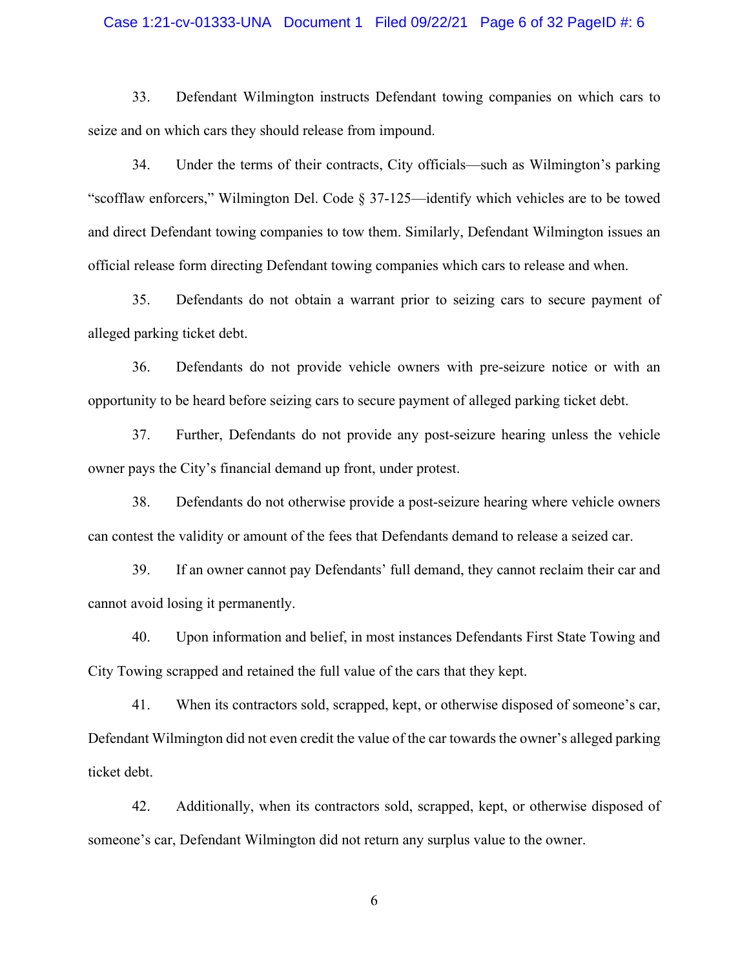#### Case 1:21-cv-01333-UNA Document 1 Filed 09/22/21 Page 6 of 32 PageID #: 6

33. Defendant Wilmington instructs Defendant towing companies on which cars to seize and on which cars they should release from impound.

34. Under the terms of their contracts, City officials—such as Wilmington's parking "scofflaw enforcers," Wilmington Del. Code § 37-125—identify which vehicles are to be towed and direct Defendant towing companies to tow them. Similarly, Defendant Wilmington issues an official release form directing Defendant towing companies which cars to release and when.

35. Defendants do not obtain a warrant prior to seizing cars to secure payment of alleged parking ticket debt.

36. Defendants do not provide vehicle owners with pre-seizure notice or with an opportunity to be heard before seizing cars to secure payment of alleged parking ticket debt.

37. Further, Defendants do not provide any post-seizure hearing unless the vehicle owner pays the City's financial demand up front, under protest.

38. Defendants do not otherwise provide a post-seizure hearing where vehicle owners can contest the validity or amount of the fees that Defendants demand to release a seized car.

39. If an owner cannot pay Defendants' full demand, they cannot reclaim their car and cannot avoid losing it permanently.

40. Upon information and belief, in most instances Defendants First State Towing and City Towing scrapped and retained the full value of the cars that they kept.

41. When its contractors sold, scrapped, kept, or otherwise disposed of someone's car, Defendant Wilmington did not even credit the value of the car towards the owner's alleged parking ticket debt.

42. Additionally, when its contractors sold, scrapped, kept, or otherwise disposed of someone's car, Defendant Wilmington did not return any surplus value to the owner.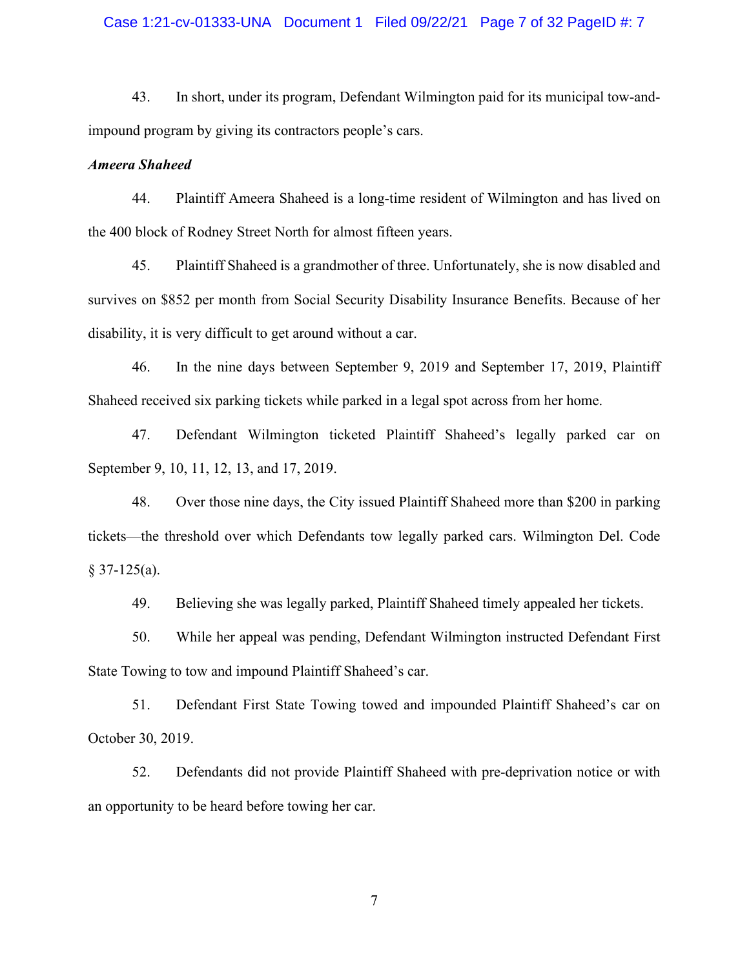#### Case 1:21-cv-01333-UNA Document 1 Filed 09/22/21 Page 7 of 32 PageID #: 7

43. In short, under its program, Defendant Wilmington paid for its municipal tow-andimpound program by giving its contractors people's cars.

#### *Ameera Shaheed*

44. Plaintiff Ameera Shaheed is a long-time resident of Wilmington and has lived on the 400 block of Rodney Street North for almost fifteen years.

45. Plaintiff Shaheed is a grandmother of three. Unfortunately, she is now disabled and survives on \$852 per month from Social Security Disability Insurance Benefits. Because of her disability, it is very difficult to get around without a car.

46. In the nine days between September 9, 2019 and September 17, 2019, Plaintiff Shaheed received six parking tickets while parked in a legal spot across from her home.

47. Defendant Wilmington ticketed Plaintiff Shaheed's legally parked car on September 9, 10, 11, 12, 13, and 17, 2019.

48. Over those nine days, the City issued Plaintiff Shaheed more than \$200 in parking tickets—the threshold over which Defendants tow legally parked cars. Wilmington Del. Code  $§$  37-125(a).

49. Believing she was legally parked, Plaintiff Shaheed timely appealed her tickets.

50. While her appeal was pending, Defendant Wilmington instructed Defendant First State Towing to tow and impound Plaintiff Shaheed's car.

51. Defendant First State Towing towed and impounded Plaintiff Shaheed's car on October 30, 2019.

52. Defendants did not provide Plaintiff Shaheed with pre-deprivation notice or with an opportunity to be heard before towing her car.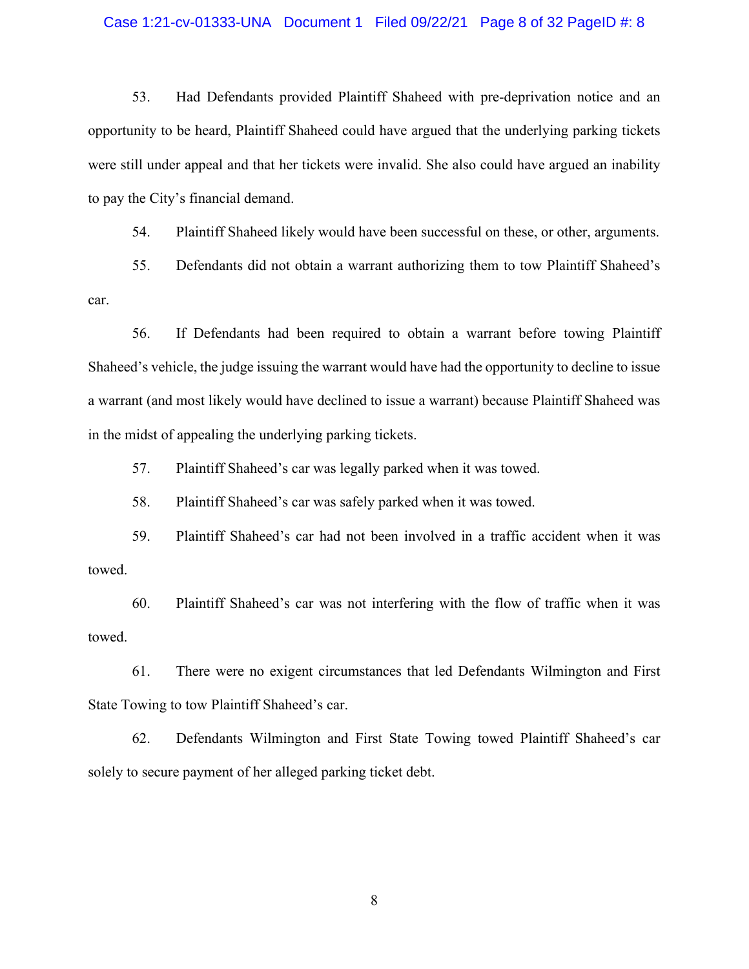#### Case 1:21-cv-01333-UNA Document 1 Filed 09/22/21 Page 8 of 32 PageID #: 8

53. Had Defendants provided Plaintiff Shaheed with pre-deprivation notice and an opportunity to be heard, Plaintiff Shaheed could have argued that the underlying parking tickets were still under appeal and that her tickets were invalid. She also could have argued an inability to pay the City's financial demand.

54. Plaintiff Shaheed likely would have been successful on these, or other, arguments.

55. Defendants did not obtain a warrant authorizing them to tow Plaintiff Shaheed's car.

56. If Defendants had been required to obtain a warrant before towing Plaintiff Shaheed's vehicle, the judge issuing the warrant would have had the opportunity to decline to issue a warrant (and most likely would have declined to issue a warrant) because Plaintiff Shaheed was in the midst of appealing the underlying parking tickets.

57. Plaintiff Shaheed's car was legally parked when it was towed.

58. Plaintiff Shaheed's car was safely parked when it was towed.

59. Plaintiff Shaheed's car had not been involved in a traffic accident when it was towed.

60. Plaintiff Shaheed's car was not interfering with the flow of traffic when it was towed.

61. There were no exigent circumstances that led Defendants Wilmington and First State Towing to tow Plaintiff Shaheed's car.

62. Defendants Wilmington and First State Towing towed Plaintiff Shaheed's car solely to secure payment of her alleged parking ticket debt.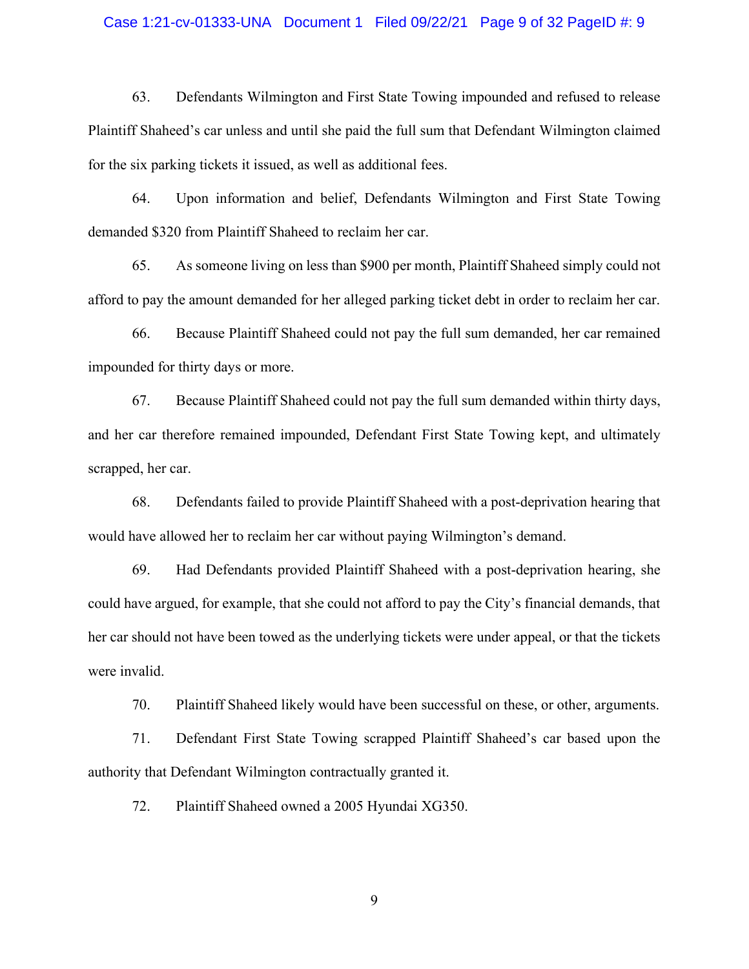#### Case 1:21-cv-01333-UNA Document 1 Filed 09/22/21 Page 9 of 32 PageID #: 9

63. Defendants Wilmington and First State Towing impounded and refused to release Plaintiff Shaheed's car unless and until she paid the full sum that Defendant Wilmington claimed for the six parking tickets it issued, as well as additional fees.

64. Upon information and belief, Defendants Wilmington and First State Towing demanded \$320 from Plaintiff Shaheed to reclaim her car.

65. As someone living on less than \$900 per month, Plaintiff Shaheed simply could not afford to pay the amount demanded for her alleged parking ticket debt in order to reclaim her car.

66. Because Plaintiff Shaheed could not pay the full sum demanded, her car remained impounded for thirty days or more.

67. Because Plaintiff Shaheed could not pay the full sum demanded within thirty days, and her car therefore remained impounded, Defendant First State Towing kept, and ultimately scrapped, her car.

68. Defendants failed to provide Plaintiff Shaheed with a post-deprivation hearing that would have allowed her to reclaim her car without paying Wilmington's demand.

69. Had Defendants provided Plaintiff Shaheed with a post-deprivation hearing, she could have argued, for example, that she could not afford to pay the City's financial demands, that her car should not have been towed as the underlying tickets were under appeal, or that the tickets were invalid.

70. Plaintiff Shaheed likely would have been successful on these, or other, arguments.

71. Defendant First State Towing scrapped Plaintiff Shaheed's car based upon the authority that Defendant Wilmington contractually granted it.

72. Plaintiff Shaheed owned a 2005 Hyundai XG350.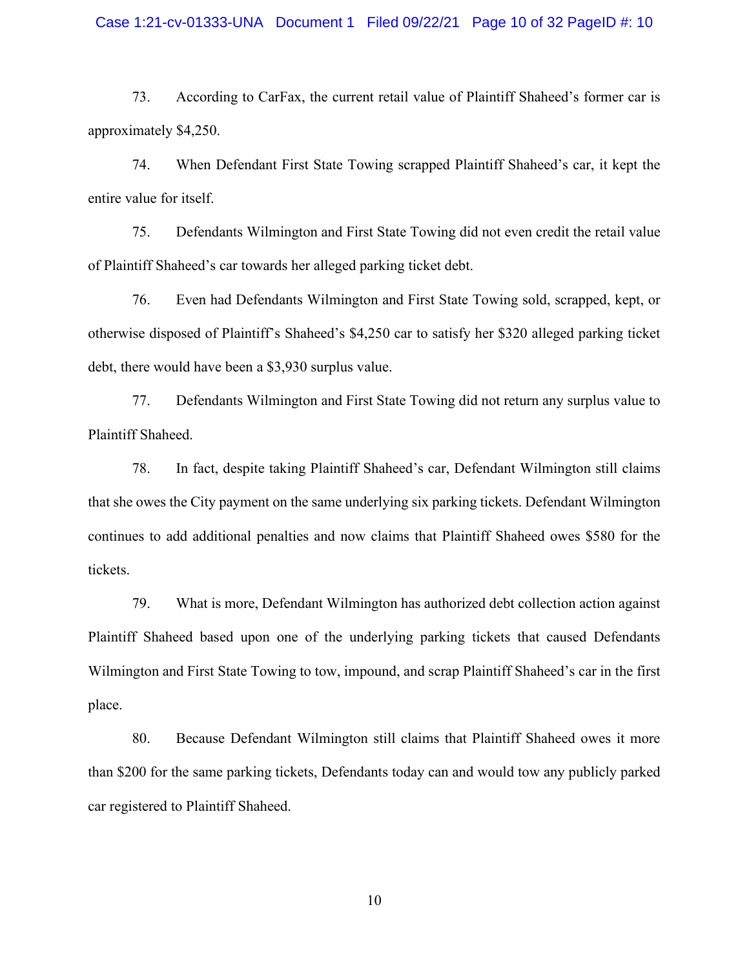#### Case 1:21-cv-01333-UNA Document 1 Filed 09/22/21 Page 10 of 32 PageID #: 10

73. According to CarFax, the current retail value of Plaintiff Shaheed's former car is approximately \$4,250.

74. When Defendant First State Towing scrapped Plaintiff Shaheed's car, it kept the entire value for itself.

75. Defendants Wilmington and First State Towing did not even credit the retail value of Plaintiff Shaheed's car towards her alleged parking ticket debt.

76. Even had Defendants Wilmington and First State Towing sold, scrapped, kept, or otherwise disposed of Plaintiff's Shaheed's \$4,250 car to satisfy her \$320 alleged parking ticket debt, there would have been a \$3,930 surplus value.

77. Defendants Wilmington and First State Towing did not return any surplus value to Plaintiff Shaheed.

78. In fact, despite taking Plaintiff Shaheed's car, Defendant Wilmington still claims that she owes the City payment on the same underlying six parking tickets. Defendant Wilmington continues to add additional penalties and now claims that Plaintiff Shaheed owes \$580 for the tickets.

79. What is more, Defendant Wilmington has authorized debt collection action against Plaintiff Shaheed based upon one of the underlying parking tickets that caused Defendants Wilmington and First State Towing to tow, impound, and scrap Plaintiff Shaheed's car in the first place.

80. Because Defendant Wilmington still claims that Plaintiff Shaheed owes it more than \$200 for the same parking tickets, Defendants today can and would tow any publicly parked car registered to Plaintiff Shaheed.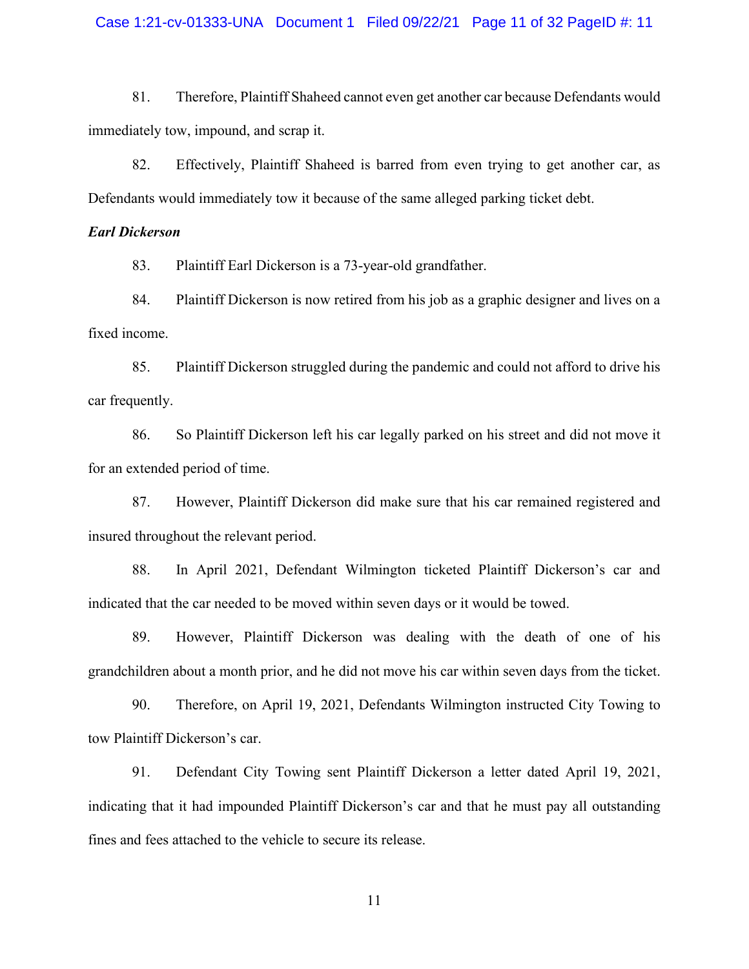#### Case 1:21-cv-01333-UNA Document 1 Filed 09/22/21 Page 11 of 32 PageID #: 11

81. Therefore, Plaintiff Shaheed cannot even get another car because Defendants would immediately tow, impound, and scrap it.

82. Effectively, Plaintiff Shaheed is barred from even trying to get another car, as Defendants would immediately tow it because of the same alleged parking ticket debt.

## *Earl Dickerson*

83. Plaintiff Earl Dickerson is a 73-year-old grandfather.

84. Plaintiff Dickerson is now retired from his job as a graphic designer and lives on a fixed income.

85. Plaintiff Dickerson struggled during the pandemic and could not afford to drive his car frequently.

86. So Plaintiff Dickerson left his car legally parked on his street and did not move it for an extended period of time.

87. However, Plaintiff Dickerson did make sure that his car remained registered and insured throughout the relevant period.

88. In April 2021, Defendant Wilmington ticketed Plaintiff Dickerson's car and indicated that the car needed to be moved within seven days or it would be towed.

89. However, Plaintiff Dickerson was dealing with the death of one of his grandchildren about a month prior, and he did not move his car within seven days from the ticket.

90. Therefore, on April 19, 2021, Defendants Wilmington instructed City Towing to tow Plaintiff Dickerson's car.

91. Defendant City Towing sent Plaintiff Dickerson a letter dated April 19, 2021, indicating that it had impounded Plaintiff Dickerson's car and that he must pay all outstanding fines and fees attached to the vehicle to secure its release.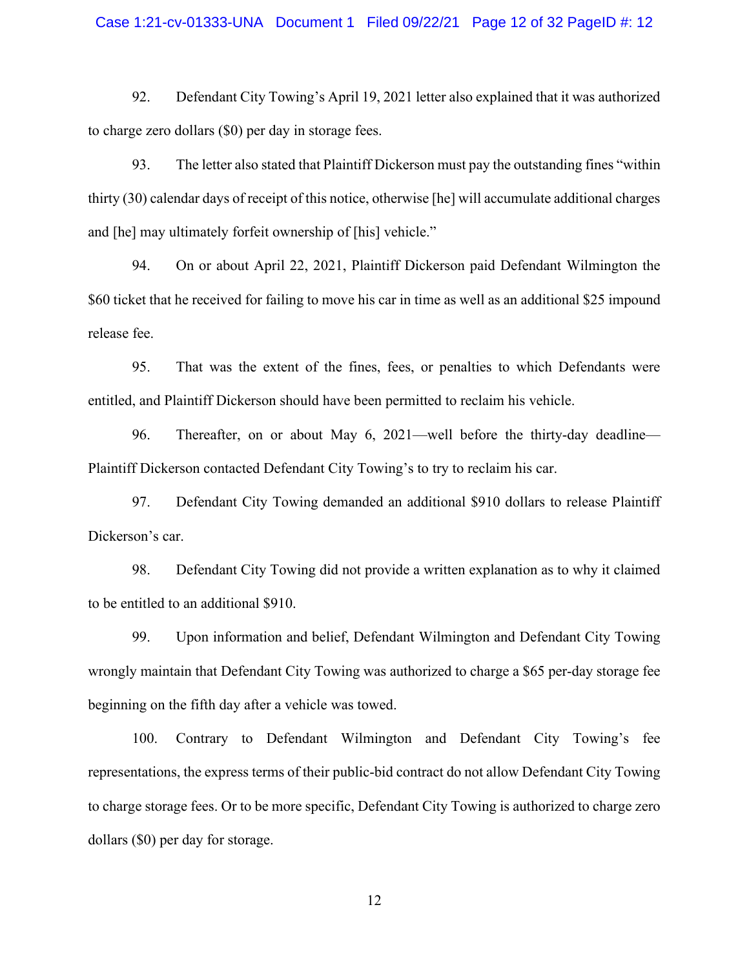#### Case 1:21-cv-01333-UNA Document 1 Filed 09/22/21 Page 12 of 32 PageID #: 12

92. Defendant City Towing's April 19, 2021 letter also explained that it was authorized to charge zero dollars (\$0) per day in storage fees.

93. The letter also stated that Plaintiff Dickerson must pay the outstanding fines "within thirty (30) calendar days of receipt of this notice, otherwise [he] will accumulate additional charges and [he] may ultimately forfeit ownership of [his] vehicle."

94. On or about April 22, 2021, Plaintiff Dickerson paid Defendant Wilmington the \$60 ticket that he received for failing to move his car in time as well as an additional \$25 impound release fee.

95. That was the extent of the fines, fees, or penalties to which Defendants were entitled, and Plaintiff Dickerson should have been permitted to reclaim his vehicle.

96. Thereafter, on or about May 6, 2021—well before the thirty-day deadline— Plaintiff Dickerson contacted Defendant City Towing's to try to reclaim his car.

97. Defendant City Towing demanded an additional \$910 dollars to release Plaintiff Dickerson's car.

98. Defendant City Towing did not provide a written explanation as to why it claimed to be entitled to an additional \$910.

99. Upon information and belief, Defendant Wilmington and Defendant City Towing wrongly maintain that Defendant City Towing was authorized to charge a \$65 per-day storage fee beginning on the fifth day after a vehicle was towed.

100. Contrary to Defendant Wilmington and Defendant City Towing's fee representations, the express terms of their public-bid contract do not allow Defendant City Towing to charge storage fees. Or to be more specific, Defendant City Towing is authorized to charge zero dollars (\$0) per day for storage.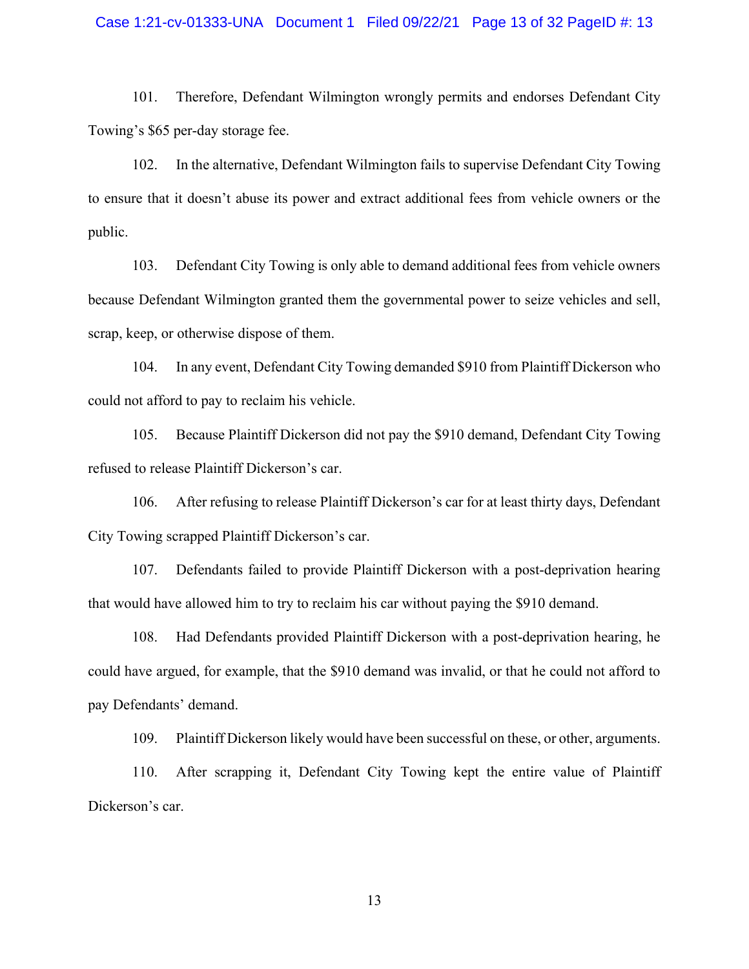#### Case 1:21-cv-01333-UNA Document 1 Filed 09/22/21 Page 13 of 32 PageID #: 13

101. Therefore, Defendant Wilmington wrongly permits and endorses Defendant City Towing's \$65 per-day storage fee.

102. In the alternative, Defendant Wilmington fails to supervise Defendant City Towing to ensure that it doesn't abuse its power and extract additional fees from vehicle owners or the public.

103. Defendant City Towing is only able to demand additional fees from vehicle owners because Defendant Wilmington granted them the governmental power to seize vehicles and sell, scrap, keep, or otherwise dispose of them.

104. In any event, Defendant City Towing demanded \$910 from Plaintiff Dickerson who could not afford to pay to reclaim his vehicle.

105. Because Plaintiff Dickerson did not pay the \$910 demand, Defendant City Towing refused to release Plaintiff Dickerson's car.

106. After refusing to release Plaintiff Dickerson's car for at least thirty days, Defendant City Towing scrapped Plaintiff Dickerson's car.

107. Defendants failed to provide Plaintiff Dickerson with a post-deprivation hearing that would have allowed him to try to reclaim his car without paying the \$910 demand.

108. Had Defendants provided Plaintiff Dickerson with a post-deprivation hearing, he could have argued, for example, that the \$910 demand was invalid, or that he could not afford to pay Defendants' demand.

109. Plaintiff Dickerson likely would have been successful on these, or other, arguments.

110. After scrapping it, Defendant City Towing kept the entire value of Plaintiff Dickerson's car.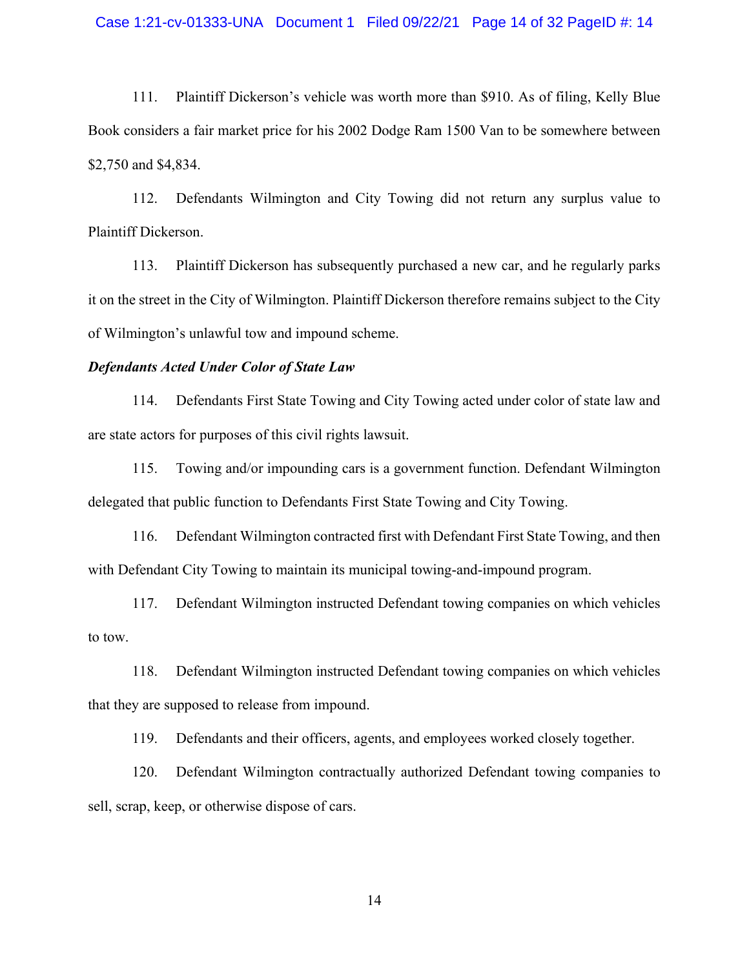#### Case 1:21-cv-01333-UNA Document 1 Filed 09/22/21 Page 14 of 32 PageID #: 14

111. Plaintiff Dickerson's vehicle was worth more than \$910. As of filing, Kelly Blue Book considers a fair market price for his 2002 Dodge Ram 1500 Van to be somewhere between \$2,750 and \$4,834.

112. Defendants Wilmington and City Towing did not return any surplus value to Plaintiff Dickerson.

113. Plaintiff Dickerson has subsequently purchased a new car, and he regularly parks it on the street in the City of Wilmington. Plaintiff Dickerson therefore remains subject to the City of Wilmington's unlawful tow and impound scheme.

### *Defendants Acted Under Color of State Law*

114. Defendants First State Towing and City Towing acted under color of state law and are state actors for purposes of this civil rights lawsuit.

115. Towing and/or impounding cars is a government function. Defendant Wilmington delegated that public function to Defendants First State Towing and City Towing.

116. Defendant Wilmington contracted first with Defendant First State Towing, and then with Defendant City Towing to maintain its municipal towing-and-impound program.

117. Defendant Wilmington instructed Defendant towing companies on which vehicles to tow.

118. Defendant Wilmington instructed Defendant towing companies on which vehicles that they are supposed to release from impound.

119. Defendants and their officers, agents, and employees worked closely together.

120. Defendant Wilmington contractually authorized Defendant towing companies to sell, scrap, keep, or otherwise dispose of cars.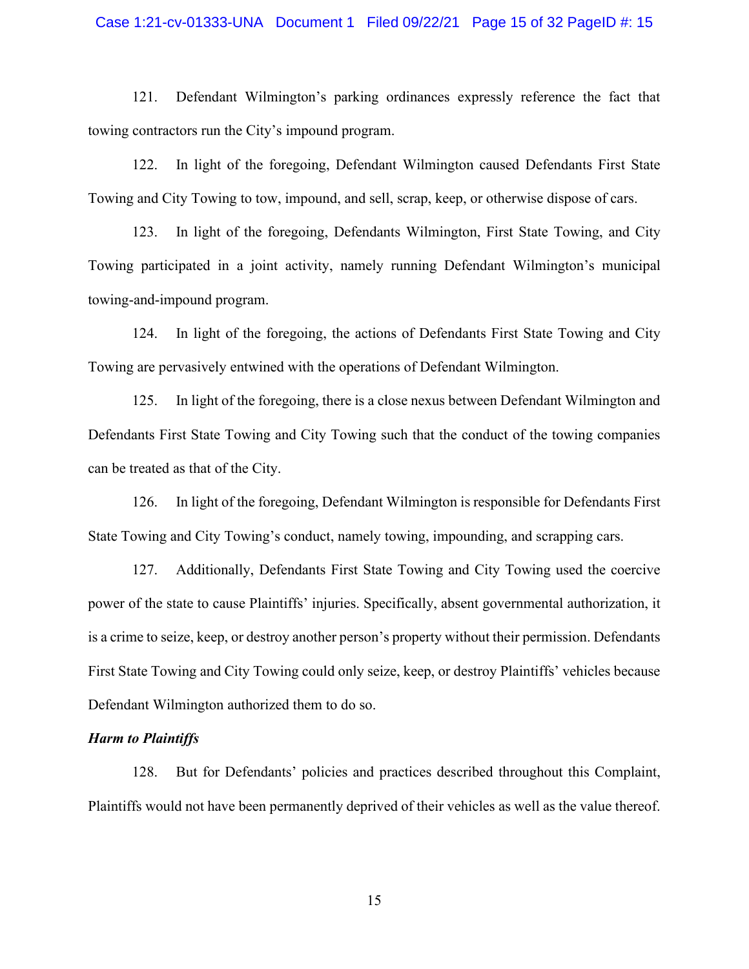#### Case 1:21-cv-01333-UNA Document 1 Filed 09/22/21 Page 15 of 32 PageID #: 15

121. Defendant Wilmington's parking ordinances expressly reference the fact that towing contractors run the City's impound program.

122. In light of the foregoing, Defendant Wilmington caused Defendants First State Towing and City Towing to tow, impound, and sell, scrap, keep, or otherwise dispose of cars.

123. In light of the foregoing, Defendants Wilmington, First State Towing, and City Towing participated in a joint activity, namely running Defendant Wilmington's municipal towing-and-impound program.

124. In light of the foregoing, the actions of Defendants First State Towing and City Towing are pervasively entwined with the operations of Defendant Wilmington.

125. In light of the foregoing, there is a close nexus between Defendant Wilmington and Defendants First State Towing and City Towing such that the conduct of the towing companies can be treated as that of the City.

126. In light of the foregoing, Defendant Wilmington is responsible for Defendants First State Towing and City Towing's conduct, namely towing, impounding, and scrapping cars.

127. Additionally, Defendants First State Towing and City Towing used the coercive power of the state to cause Plaintiffs' injuries. Specifically, absent governmental authorization, it is a crime to seize, keep, or destroy another person's property without their permission. Defendants First State Towing and City Towing could only seize, keep, or destroy Plaintiffs' vehicles because Defendant Wilmington authorized them to do so.

## *Harm to Plaintiffs*

128. But for Defendants' policies and practices described throughout this Complaint, Plaintiffs would not have been permanently deprived of their vehicles as well as the value thereof.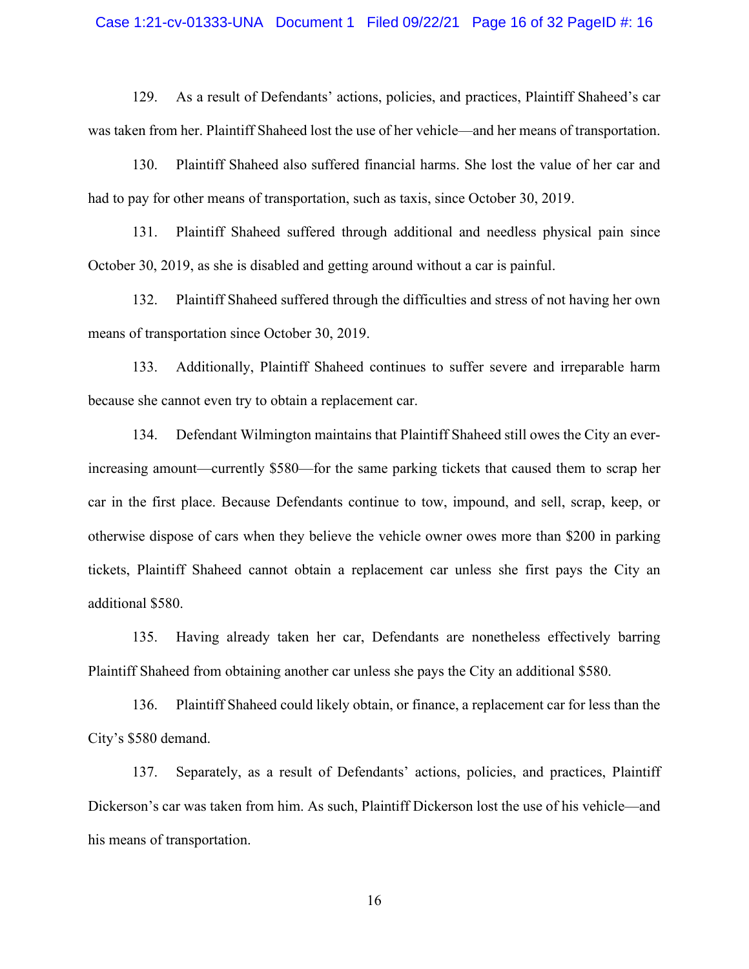#### Case 1:21-cv-01333-UNA Document 1 Filed 09/22/21 Page 16 of 32 PageID #: 16

129. As a result of Defendants' actions, policies, and practices, Plaintiff Shaheed's car was taken from her. Plaintiff Shaheed lost the use of her vehicle—and her means of transportation.

130. Plaintiff Shaheed also suffered financial harms. She lost the value of her car and had to pay for other means of transportation, such as taxis, since October 30, 2019.

131. Plaintiff Shaheed suffered through additional and needless physical pain since October 30, 2019, as she is disabled and getting around without a car is painful.

132. Plaintiff Shaheed suffered through the difficulties and stress of not having her own means of transportation since October 30, 2019.

133. Additionally, Plaintiff Shaheed continues to suffer severe and irreparable harm because she cannot even try to obtain a replacement car.

134. Defendant Wilmington maintains that Plaintiff Shaheed still owes the City an everincreasing amount—currently \$580—for the same parking tickets that caused them to scrap her car in the first place. Because Defendants continue to tow, impound, and sell, scrap, keep, or otherwise dispose of cars when they believe the vehicle owner owes more than \$200 in parking tickets, Plaintiff Shaheed cannot obtain a replacement car unless she first pays the City an additional \$580.

135. Having already taken her car, Defendants are nonetheless effectively barring Plaintiff Shaheed from obtaining another car unless she pays the City an additional \$580.

136. Plaintiff Shaheed could likely obtain, or finance, a replacement car for less than the City's \$580 demand.

137. Separately, as a result of Defendants' actions, policies, and practices, Plaintiff Dickerson's car was taken from him. As such, Plaintiff Dickerson lost the use of his vehicle—and his means of transportation.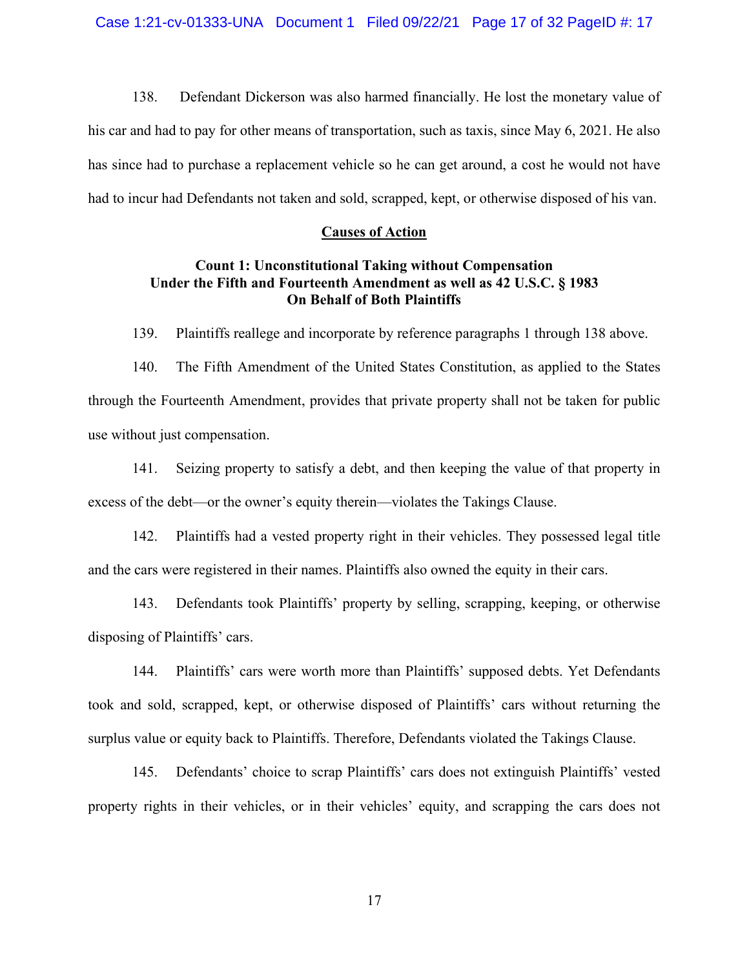138. Defendant Dickerson was also harmed financially. He lost the monetary value of his car and had to pay for other means of transportation, such as taxis, since May 6, 2021. He also has since had to purchase a replacement vehicle so he can get around, a cost he would not have had to incur had Defendants not taken and sold, scrapped, kept, or otherwise disposed of his van.

# **Causes of Action**

# **Count 1: Unconstitutional Taking without Compensation Under the Fifth and Fourteenth Amendment as well as 42 U.S.C. § 1983 On Behalf of Both Plaintiffs**

139. Plaintiffs reallege and incorporate by reference paragraphs 1 through 138 above.

140. The Fifth Amendment of the United States Constitution, as applied to the States through the Fourteenth Amendment, provides that private property shall not be taken for public use without just compensation.

141. Seizing property to satisfy a debt, and then keeping the value of that property in excess of the debt—or the owner's equity therein—violates the Takings Clause.

142. Plaintiffs had a vested property right in their vehicles. They possessed legal title and the cars were registered in their names. Plaintiffs also owned the equity in their cars.

143. Defendants took Plaintiffs' property by selling, scrapping, keeping, or otherwise disposing of Plaintiffs' cars.

144. Plaintiffs' cars were worth more than Plaintiffs' supposed debts. Yet Defendants took and sold, scrapped, kept, or otherwise disposed of Plaintiffs' cars without returning the surplus value or equity back to Plaintiffs. Therefore, Defendants violated the Takings Clause.

145. Defendants' choice to scrap Plaintiffs' cars does not extinguish Plaintiffs' vested property rights in their vehicles, or in their vehicles' equity, and scrapping the cars does not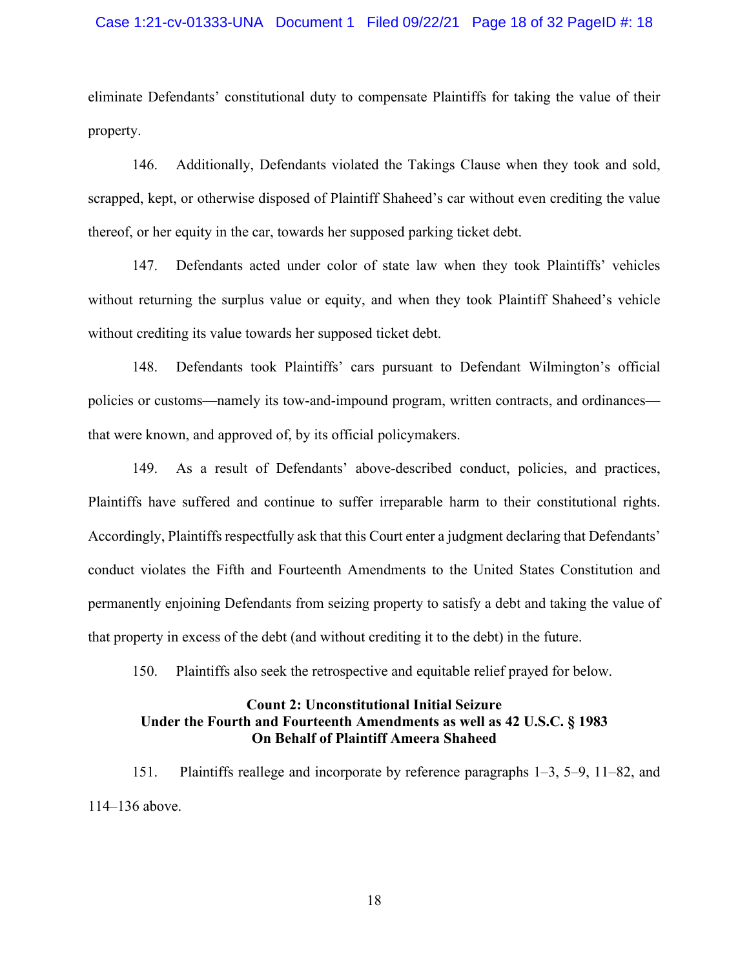#### Case 1:21-cv-01333-UNA Document 1 Filed 09/22/21 Page 18 of 32 PageID #: 18

eliminate Defendants' constitutional duty to compensate Plaintiffs for taking the value of their property.

146. Additionally, Defendants violated the Takings Clause when they took and sold, scrapped, kept, or otherwise disposed of Plaintiff Shaheed's car without even crediting the value thereof, or her equity in the car, towards her supposed parking ticket debt.

147. Defendants acted under color of state law when they took Plaintiffs' vehicles without returning the surplus value or equity, and when they took Plaintiff Shaheed's vehicle without crediting its value towards her supposed ticket debt.

148. Defendants took Plaintiffs' cars pursuant to Defendant Wilmington's official policies or customs—namely its tow-and-impound program, written contracts, and ordinances that were known, and approved of, by its official policymakers.

149. As a result of Defendants' above-described conduct, policies, and practices, Plaintiffs have suffered and continue to suffer irreparable harm to their constitutional rights. Accordingly, Plaintiffs respectfully ask that this Court enter a judgment declaring that Defendants' conduct violates the Fifth and Fourteenth Amendments to the United States Constitution and permanently enjoining Defendants from seizing property to satisfy a debt and taking the value of that property in excess of the debt (and without crediting it to the debt) in the future.

150. Plaintiffs also seek the retrospective and equitable relief prayed for below.

# **Count 2: Unconstitutional Initial Seizure Under the Fourth and Fourteenth Amendments as well as 42 U.S.C. § 1983 On Behalf of Plaintiff Ameera Shaheed**

151. Plaintiffs reallege and incorporate by reference paragraphs 1–3, 5–9, 11–82, and 114–136 above.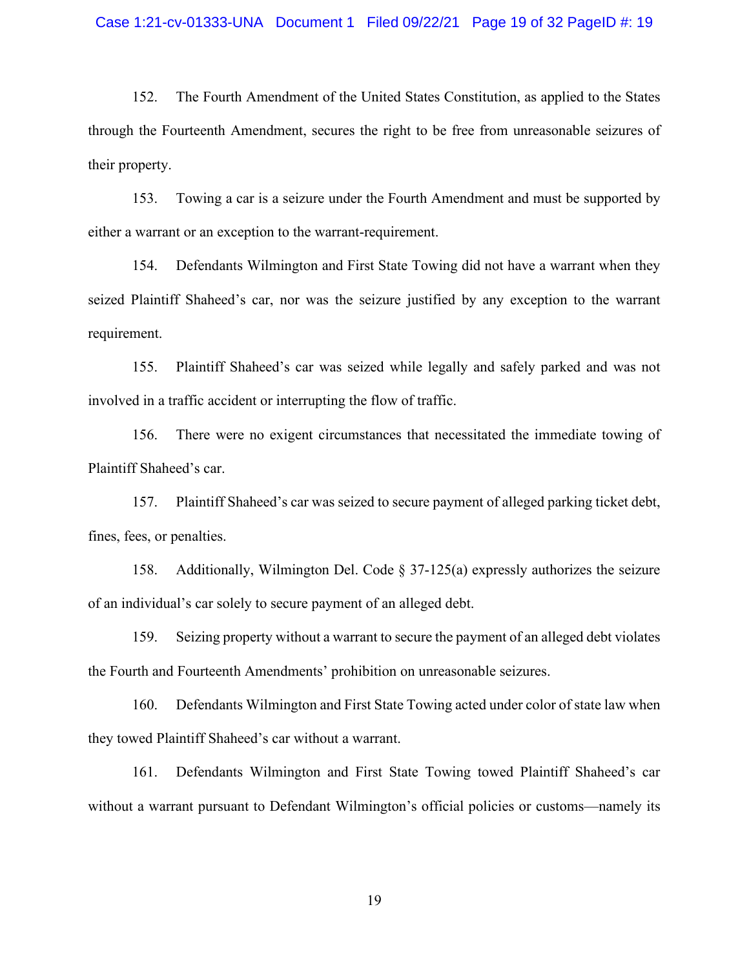152. The Fourth Amendment of the United States Constitution, as applied to the States through the Fourteenth Amendment, secures the right to be free from unreasonable seizures of their property.

153. Towing a car is a seizure under the Fourth Amendment and must be supported by either a warrant or an exception to the warrant-requirement.

154. Defendants Wilmington and First State Towing did not have a warrant when they seized Plaintiff Shaheed's car, nor was the seizure justified by any exception to the warrant requirement.

155. Plaintiff Shaheed's car was seized while legally and safely parked and was not involved in a traffic accident or interrupting the flow of traffic.

156. There were no exigent circumstances that necessitated the immediate towing of Plaintiff Shaheed's car.

157. Plaintiff Shaheed's car was seized to secure payment of alleged parking ticket debt, fines, fees, or penalties.

158. Additionally, Wilmington Del. Code § 37-125(a) expressly authorizes the seizure of an individual's car solely to secure payment of an alleged debt.

159. Seizing property without a warrant to secure the payment of an alleged debt violates the Fourth and Fourteenth Amendments' prohibition on unreasonable seizures.

160. Defendants Wilmington and First State Towing acted under color of state law when they towed Plaintiff Shaheed's car without a warrant.

161. Defendants Wilmington and First State Towing towed Plaintiff Shaheed's car without a warrant pursuant to Defendant Wilmington's official policies or customs—namely its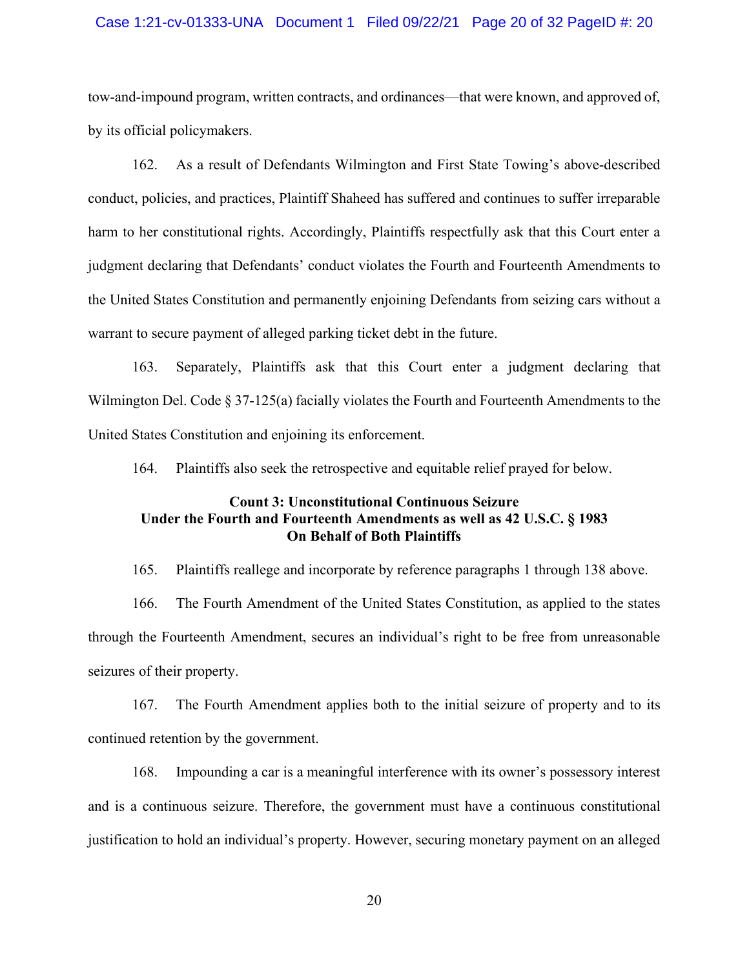#### Case 1:21-cv-01333-UNA Document 1 Filed 09/22/21 Page 20 of 32 PageID #: 20

tow-and-impound program, written contracts, and ordinances—that were known, and approved of, by its official policymakers.

162. As a result of Defendants Wilmington and First State Towing's above-described conduct, policies, and practices, Plaintiff Shaheed has suffered and continues to suffer irreparable harm to her constitutional rights. Accordingly, Plaintiffs respectfully ask that this Court enter a judgment declaring that Defendants' conduct violates the Fourth and Fourteenth Amendments to the United States Constitution and permanently enjoining Defendants from seizing cars without a warrant to secure payment of alleged parking ticket debt in the future.

163. Separately, Plaintiffs ask that this Court enter a judgment declaring that Wilmington Del. Code § 37-125(a) facially violates the Fourth and Fourteenth Amendments to the United States Constitution and enjoining its enforcement.

164. Plaintiffs also seek the retrospective and equitable relief prayed for below.

# **Count 3: Unconstitutional Continuous Seizure Under the Fourth and Fourteenth Amendments as well as 42 U.S.C. § 1983 On Behalf of Both Plaintiffs**

165. Plaintiffs reallege and incorporate by reference paragraphs 1 through 138 above.

166. The Fourth Amendment of the United States Constitution, as applied to the states through the Fourteenth Amendment, secures an individual's right to be free from unreasonable seizures of their property.

167. The Fourth Amendment applies both to the initial seizure of property and to its continued retention by the government.

168. Impounding a car is a meaningful interference with its owner's possessory interest and is a continuous seizure. Therefore, the government must have a continuous constitutional justification to hold an individual's property. However, securing monetary payment on an alleged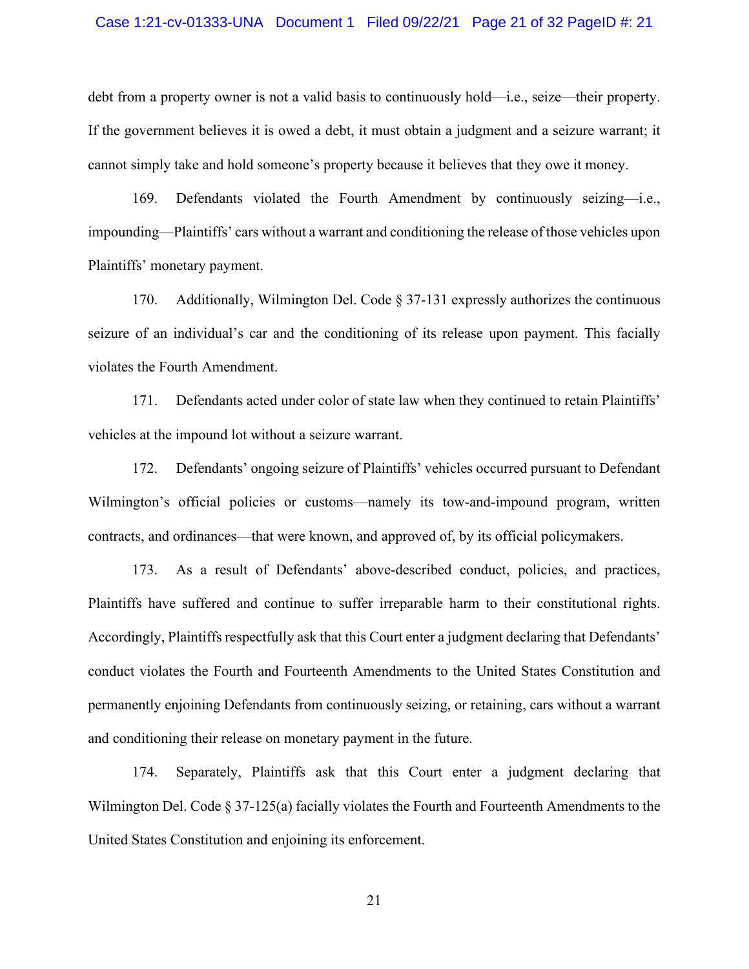#### Case 1:21-cv-01333-UNA Document 1 Filed 09/22/21 Page 21 of 32 PageID #: 21

debt from a property owner is not a valid basis to continuously hold—i.e., seize—their property. If the government believes it is owed a debt, it must obtain a judgment and a seizure warrant; it cannot simply take and hold someone's property because it believes that they owe it money.

169. Defendants violated the Fourth Amendment by continuously seizing—i.e., impounding—Plaintiffs' cars without a warrant and conditioning the release of those vehicles upon Plaintiffs' monetary payment.

170. Additionally, Wilmington Del. Code § 37-131 expressly authorizes the continuous seizure of an individual's car and the conditioning of its release upon payment. This facially violates the Fourth Amendment.

171. Defendants acted under color of state law when they continued to retain Plaintiffs' vehicles at the impound lot without a seizure warrant.

172. Defendants' ongoing seizure of Plaintiffs' vehicles occurred pursuant to Defendant Wilmington's official policies or customs—namely its tow-and-impound program, written contracts, and ordinances—that were known, and approved of, by its official policymakers.

173. As a result of Defendants' above-described conduct, policies, and practices, Plaintiffs have suffered and continue to suffer irreparable harm to their constitutional rights. Accordingly, Plaintiffs respectfully ask that this Court enter a judgment declaring that Defendants' conduct violates the Fourth and Fourteenth Amendments to the United States Constitution and permanently enjoining Defendants from continuously seizing, or retaining, cars without a warrant and conditioning their release on monetary payment in the future.

174. Separately, Plaintiffs ask that this Court enter a judgment declaring that Wilmington Del. Code § 37-125(a) facially violates the Fourth and Fourteenth Amendments to the United States Constitution and enjoining its enforcement.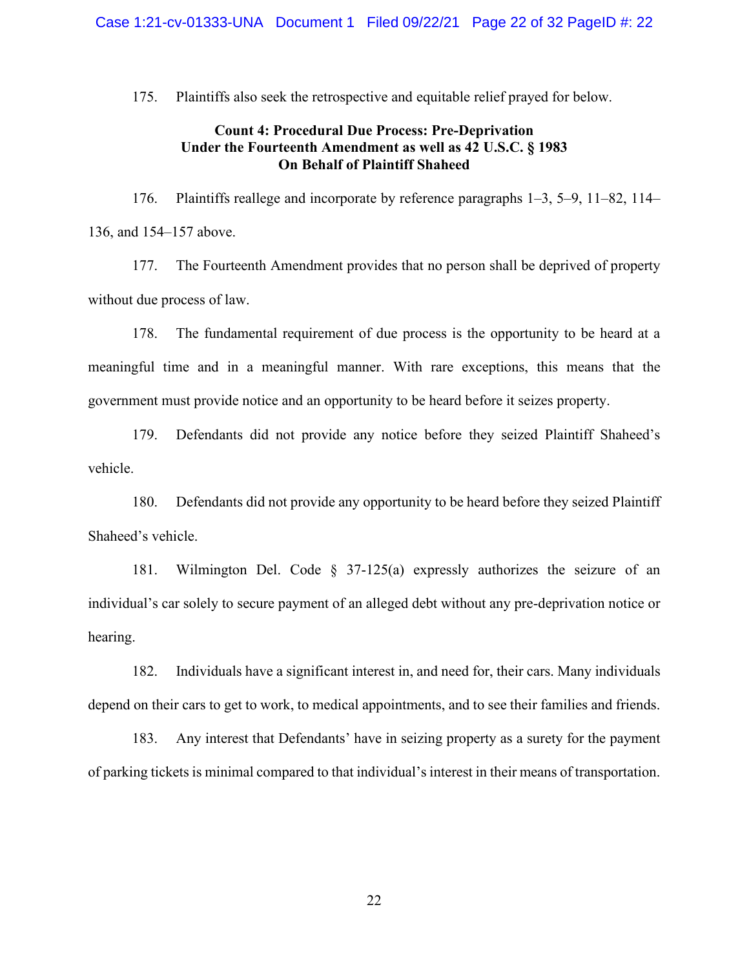175. Plaintiffs also seek the retrospective and equitable relief prayed for below.

## **Count 4: Procedural Due Process: Pre-Deprivation Under the Fourteenth Amendment as well as 42 U.S.C. § 1983 On Behalf of Plaintiff Shaheed**

176. Plaintiffs reallege and incorporate by reference paragraphs 1–3, 5–9, 11–82, 114– 136, and 154–157 above.

177. The Fourteenth Amendment provides that no person shall be deprived of property without due process of law.

178. The fundamental requirement of due process is the opportunity to be heard at a meaningful time and in a meaningful manner. With rare exceptions, this means that the government must provide notice and an opportunity to be heard before it seizes property.

179. Defendants did not provide any notice before they seized Plaintiff Shaheed's vehicle.

180. Defendants did not provide any opportunity to be heard before they seized Plaintiff Shaheed's vehicle.

181. Wilmington Del. Code § 37-125(a) expressly authorizes the seizure of an individual's car solely to secure payment of an alleged debt without any pre-deprivation notice or hearing.

182. Individuals have a significant interest in, and need for, their cars. Many individuals depend on their cars to get to work, to medical appointments, and to see their families and friends.

183. Any interest that Defendants' have in seizing property as a surety for the payment of parking tickets is minimal compared to that individual's interest in their means of transportation.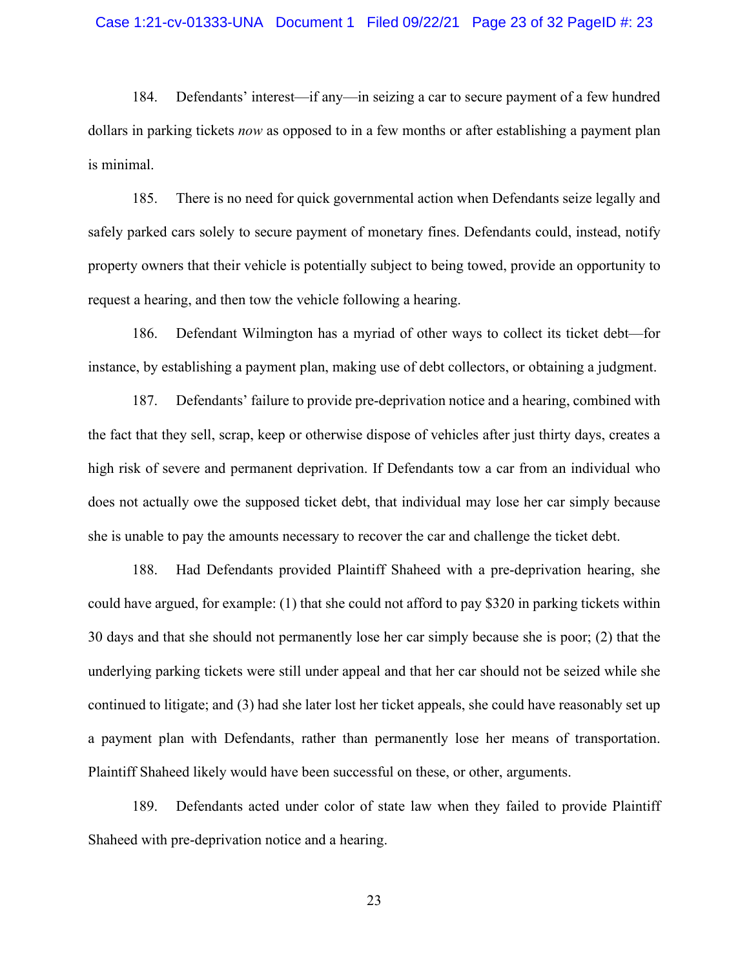184. Defendants' interest—if any—in seizing a car to secure payment of a few hundred dollars in parking tickets *now* as opposed to in a few months or after establishing a payment plan is minimal.

185. There is no need for quick governmental action when Defendants seize legally and safely parked cars solely to secure payment of monetary fines. Defendants could, instead, notify property owners that their vehicle is potentially subject to being towed, provide an opportunity to request a hearing, and then tow the vehicle following a hearing.

186. Defendant Wilmington has a myriad of other ways to collect its ticket debt—for instance, by establishing a payment plan, making use of debt collectors, or obtaining a judgment.

187. Defendants' failure to provide pre-deprivation notice and a hearing, combined with the fact that they sell, scrap, keep or otherwise dispose of vehicles after just thirty days, creates a high risk of severe and permanent deprivation. If Defendants tow a car from an individual who does not actually owe the supposed ticket debt, that individual may lose her car simply because she is unable to pay the amounts necessary to recover the car and challenge the ticket debt.

188. Had Defendants provided Plaintiff Shaheed with a pre-deprivation hearing, she could have argued, for example: (1) that she could not afford to pay \$320 in parking tickets within 30 days and that she should not permanently lose her car simply because she is poor; (2) that the underlying parking tickets were still under appeal and that her car should not be seized while she continued to litigate; and (3) had she later lost her ticket appeals, she could have reasonably set up a payment plan with Defendants, rather than permanently lose her means of transportation. Plaintiff Shaheed likely would have been successful on these, or other, arguments.

189. Defendants acted under color of state law when they failed to provide Plaintiff Shaheed with pre-deprivation notice and a hearing.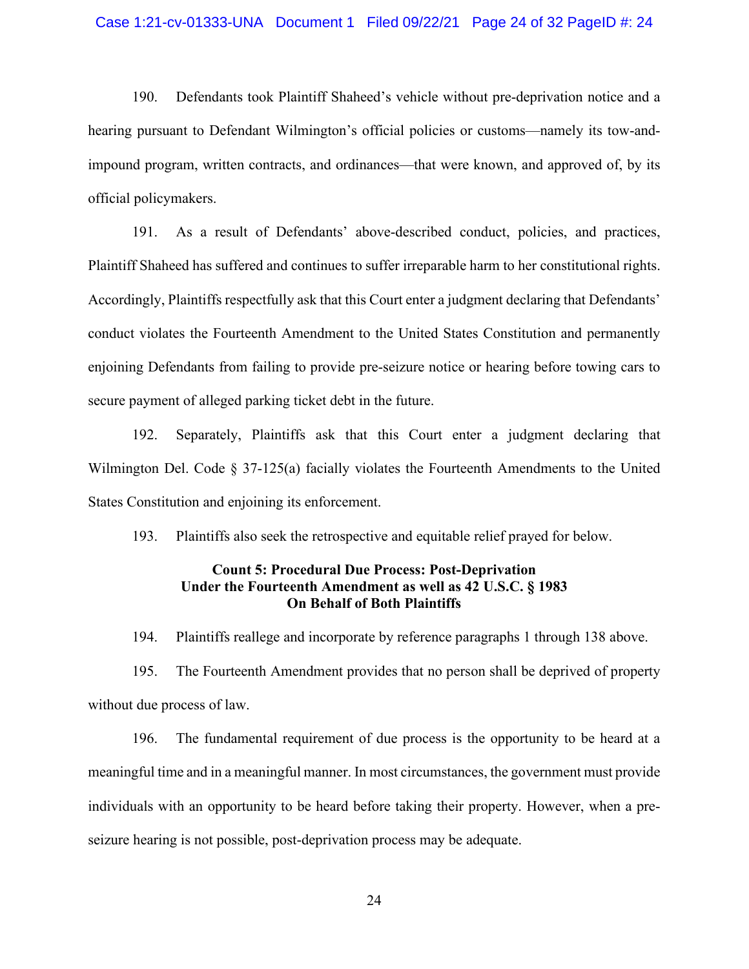#### Case 1:21-cv-01333-UNA Document 1 Filed 09/22/21 Page 24 of 32 PageID #: 24

190. Defendants took Plaintiff Shaheed's vehicle without pre-deprivation notice and a hearing pursuant to Defendant Wilmington's official policies or customs—namely its tow-andimpound program, written contracts, and ordinances—that were known, and approved of, by its official policymakers.

191. As a result of Defendants' above-described conduct, policies, and practices, Plaintiff Shaheed has suffered and continues to suffer irreparable harm to her constitutional rights. Accordingly, Plaintiffs respectfully ask that this Court enter a judgment declaring that Defendants' conduct violates the Fourteenth Amendment to the United States Constitution and permanently enjoining Defendants from failing to provide pre-seizure notice or hearing before towing cars to secure payment of alleged parking ticket debt in the future.

192. Separately, Plaintiffs ask that this Court enter a judgment declaring that Wilmington Del. Code § 37-125(a) facially violates the Fourteenth Amendments to the United States Constitution and enjoining its enforcement.

193. Plaintiffs also seek the retrospective and equitable relief prayed for below.

# **Count 5: Procedural Due Process: Post-Deprivation Under the Fourteenth Amendment as well as 42 U.S.C. § 1983 On Behalf of Both Plaintiffs**

194. Plaintiffs reallege and incorporate by reference paragraphs 1 through 138 above.

195. The Fourteenth Amendment provides that no person shall be deprived of property without due process of law.

196. The fundamental requirement of due process is the opportunity to be heard at a meaningful time and in a meaningful manner. In most circumstances, the government must provide individuals with an opportunity to be heard before taking their property. However, when a preseizure hearing is not possible, post-deprivation process may be adequate.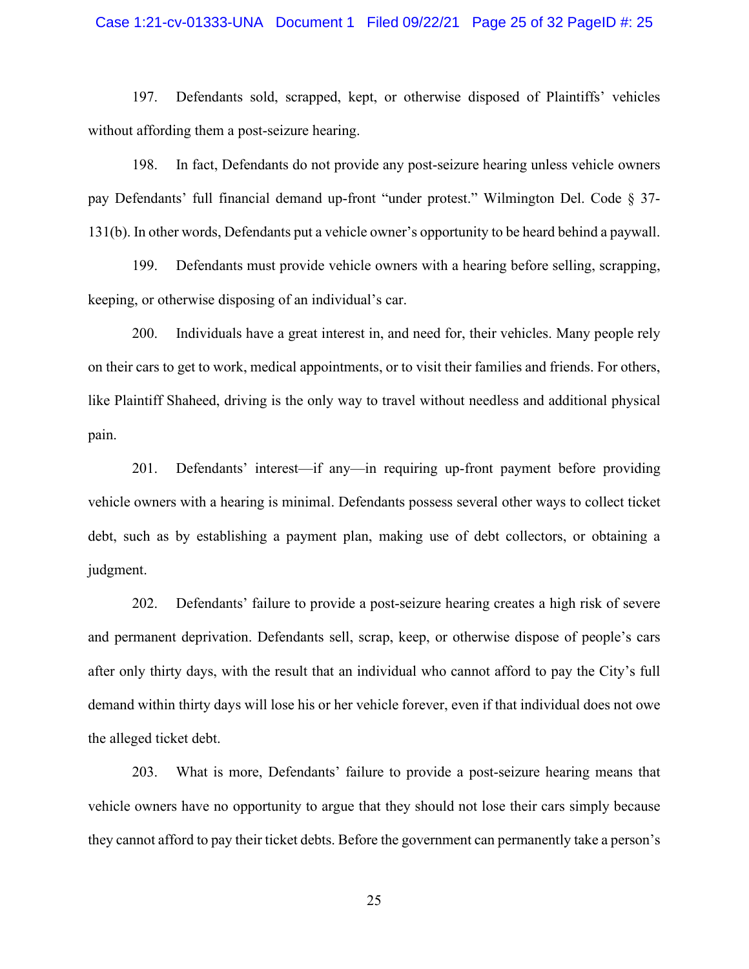#### Case 1:21-cv-01333-UNA Document 1 Filed 09/22/21 Page 25 of 32 PageID #: 25

197. Defendants sold, scrapped, kept, or otherwise disposed of Plaintiffs' vehicles without affording them a post-seizure hearing.

198. In fact, Defendants do not provide any post-seizure hearing unless vehicle owners pay Defendants' full financial demand up-front "under protest." Wilmington Del. Code § 37- 131(b). In other words, Defendants put a vehicle owner's opportunity to be heard behind a paywall.

199. Defendants must provide vehicle owners with a hearing before selling, scrapping, keeping, or otherwise disposing of an individual's car.

200. Individuals have a great interest in, and need for, their vehicles. Many people rely on their cars to get to work, medical appointments, or to visit their families and friends. For others, like Plaintiff Shaheed, driving is the only way to travel without needless and additional physical pain.

201. Defendants' interest—if any—in requiring up-front payment before providing vehicle owners with a hearing is minimal. Defendants possess several other ways to collect ticket debt, such as by establishing a payment plan, making use of debt collectors, or obtaining a judgment.

202. Defendants' failure to provide a post-seizure hearing creates a high risk of severe and permanent deprivation. Defendants sell, scrap, keep, or otherwise dispose of people's cars after only thirty days, with the result that an individual who cannot afford to pay the City's full demand within thirty days will lose his or her vehicle forever, even if that individual does not owe the alleged ticket debt.

203. What is more, Defendants' failure to provide a post-seizure hearing means that vehicle owners have no opportunity to argue that they should not lose their cars simply because they cannot afford to pay their ticket debts. Before the government can permanently take a person's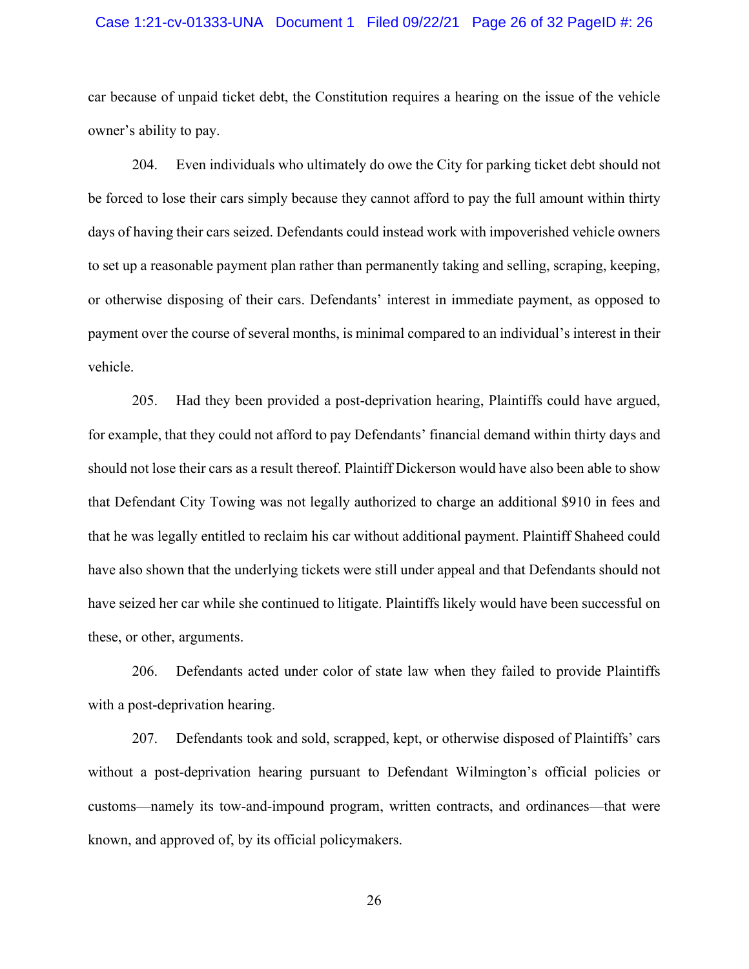#### Case 1:21-cv-01333-UNA Document 1 Filed 09/22/21 Page 26 of 32 PageID #: 26

car because of unpaid ticket debt, the Constitution requires a hearing on the issue of the vehicle owner's ability to pay.

204. Even individuals who ultimately do owe the City for parking ticket debt should not be forced to lose their cars simply because they cannot afford to pay the full amount within thirty days of having their cars seized. Defendants could instead work with impoverished vehicle owners to set up a reasonable payment plan rather than permanently taking and selling, scraping, keeping, or otherwise disposing of their cars. Defendants' interest in immediate payment, as opposed to payment over the course of several months, is minimal compared to an individual's interest in their vehicle.

205. Had they been provided a post-deprivation hearing, Plaintiffs could have argued, for example, that they could not afford to pay Defendants' financial demand within thirty days and should not lose their cars as a result thereof. Plaintiff Dickerson would have also been able to show that Defendant City Towing was not legally authorized to charge an additional \$910 in fees and that he was legally entitled to reclaim his car without additional payment. Plaintiff Shaheed could have also shown that the underlying tickets were still under appeal and that Defendants should not have seized her car while she continued to litigate. Plaintiffs likely would have been successful on these, or other, arguments.

206. Defendants acted under color of state law when they failed to provide Plaintiffs with a post-deprivation hearing.

207. Defendants took and sold, scrapped, kept, or otherwise disposed of Plaintiffs' cars without a post-deprivation hearing pursuant to Defendant Wilmington's official policies or customs—namely its tow-and-impound program, written contracts, and ordinances—that were known, and approved of, by its official policymakers.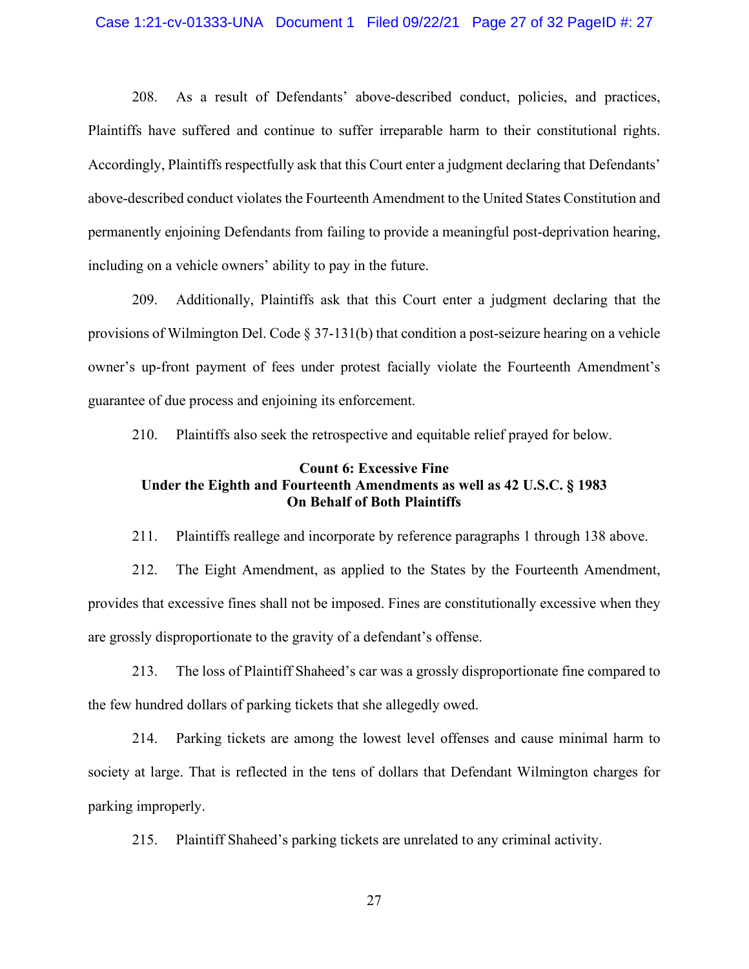#### Case 1:21-cv-01333-UNA Document 1 Filed 09/22/21 Page 27 of 32 PageID #: 27

208. As a result of Defendants' above-described conduct, policies, and practices, Plaintiffs have suffered and continue to suffer irreparable harm to their constitutional rights. Accordingly, Plaintiffs respectfully ask that this Court enter a judgment declaring that Defendants' above-described conduct violates the Fourteenth Amendment to the United States Constitution and permanently enjoining Defendants from failing to provide a meaningful post-deprivation hearing, including on a vehicle owners' ability to pay in the future.

209. Additionally, Plaintiffs ask that this Court enter a judgment declaring that the provisions of Wilmington Del. Code  $\S 37-131(b)$  that condition a post-seizure hearing on a vehicle owner's up-front payment of fees under protest facially violate the Fourteenth Amendment's guarantee of due process and enjoining its enforcement.

210. Plaintiffs also seek the retrospective and equitable relief prayed for below.

## **Count 6: Excessive Fine Under the Eighth and Fourteenth Amendments as well as 42 U.S.C. § 1983 On Behalf of Both Plaintiffs**

211. Plaintiffs reallege and incorporate by reference paragraphs 1 through 138 above.

212. The Eight Amendment, as applied to the States by the Fourteenth Amendment, provides that excessive fines shall not be imposed. Fines are constitutionally excessive when they are grossly disproportionate to the gravity of a defendant's offense.

213. The loss of Plaintiff Shaheed's car was a grossly disproportionate fine compared to the few hundred dollars of parking tickets that she allegedly owed.

214. Parking tickets are among the lowest level offenses and cause minimal harm to society at large. That is reflected in the tens of dollars that Defendant Wilmington charges for parking improperly.

215. Plaintiff Shaheed's parking tickets are unrelated to any criminal activity.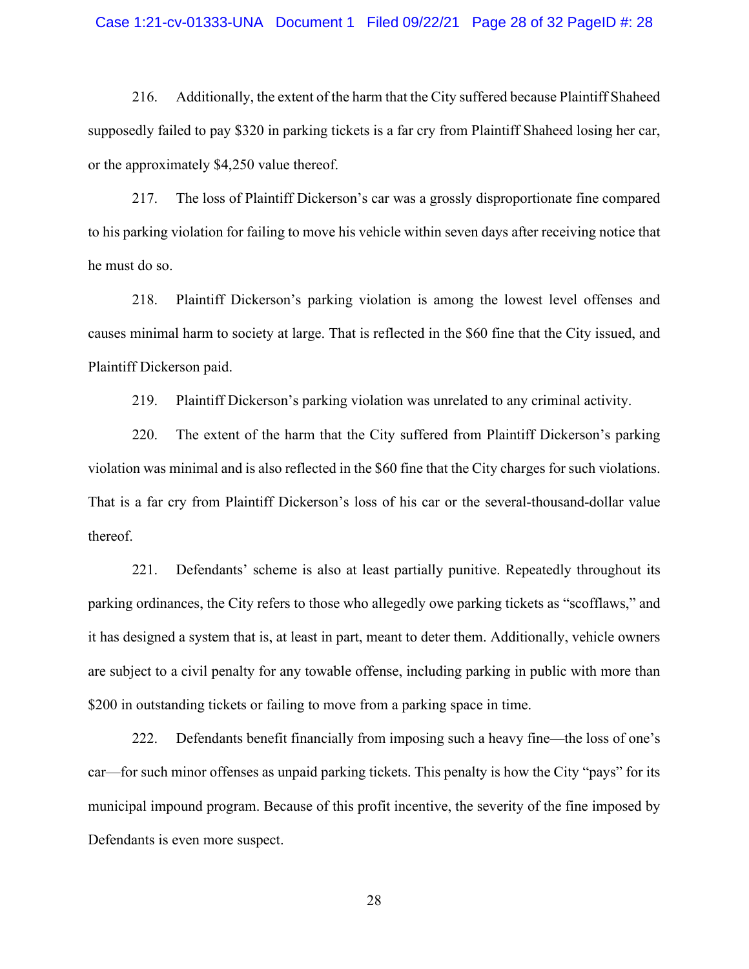#### Case 1:21-cv-01333-UNA Document 1 Filed 09/22/21 Page 28 of 32 PageID #: 28

216. Additionally, the extent of the harm that the City suffered because Plaintiff Shaheed supposedly failed to pay \$320 in parking tickets is a far cry from Plaintiff Shaheed losing her car, or the approximately \$4,250 value thereof.

217. The loss of Plaintiff Dickerson's car was a grossly disproportionate fine compared to his parking violation for failing to move his vehicle within seven days after receiving notice that he must do so.

218. Plaintiff Dickerson's parking violation is among the lowest level offenses and causes minimal harm to society at large. That is reflected in the \$60 fine that the City issued, and Plaintiff Dickerson paid.

219. Plaintiff Dickerson's parking violation was unrelated to any criminal activity.

220. The extent of the harm that the City suffered from Plaintiff Dickerson's parking violation was minimal and is also reflected in the \$60 fine that the City charges for such violations. That is a far cry from Plaintiff Dickerson's loss of his car or the several-thousand-dollar value thereof.

221. Defendants' scheme is also at least partially punitive. Repeatedly throughout its parking ordinances, the City refers to those who allegedly owe parking tickets as "scofflaws," and it has designed a system that is, at least in part, meant to deter them. Additionally, vehicle owners are subject to a civil penalty for any towable offense, including parking in public with more than \$200 in outstanding tickets or failing to move from a parking space in time.

222. Defendants benefit financially from imposing such a heavy fine—the loss of one's car—for such minor offenses as unpaid parking tickets. This penalty is how the City "pays" for its municipal impound program. Because of this profit incentive, the severity of the fine imposed by Defendants is even more suspect.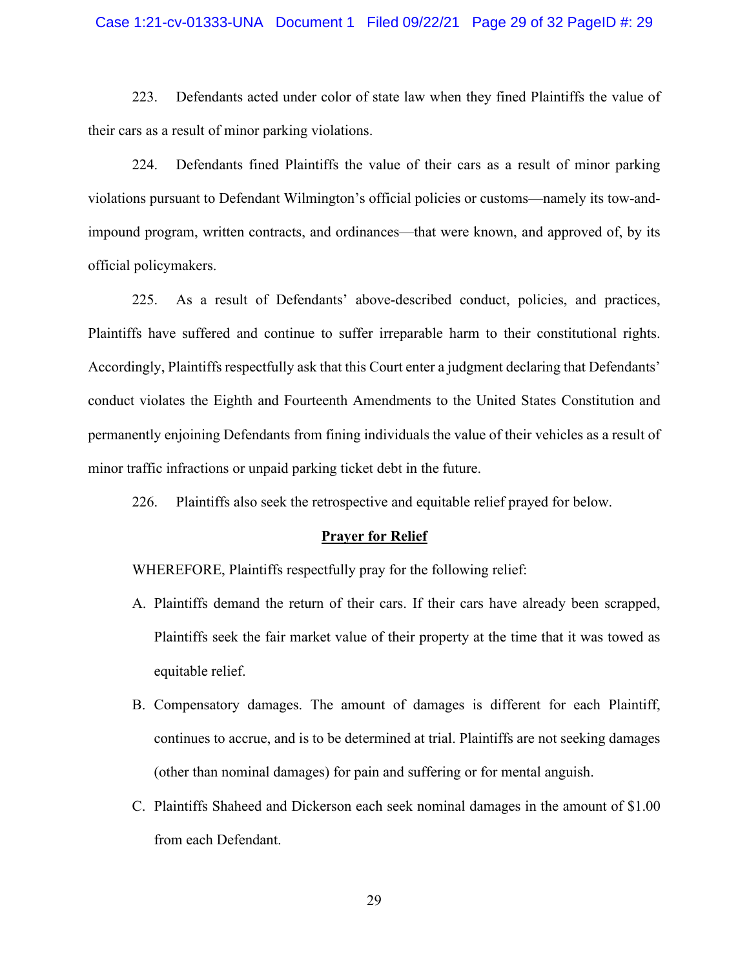#### Case 1:21-cv-01333-UNA Document 1 Filed 09/22/21 Page 29 of 32 PageID #: 29

223. Defendants acted under color of state law when they fined Plaintiffs the value of their cars as a result of minor parking violations.

224. Defendants fined Plaintiffs the value of their cars as a result of minor parking violations pursuant to Defendant Wilmington's official policies or customs—namely its tow-andimpound program, written contracts, and ordinances—that were known, and approved of, by its official policymakers.

225. As a result of Defendants' above-described conduct, policies, and practices, Plaintiffs have suffered and continue to suffer irreparable harm to their constitutional rights. Accordingly, Plaintiffs respectfully ask that this Court enter a judgment declaring that Defendants' conduct violates the Eighth and Fourteenth Amendments to the United States Constitution and permanently enjoining Defendants from fining individuals the value of their vehicles as a result of minor traffic infractions or unpaid parking ticket debt in the future.

226. Plaintiffs also seek the retrospective and equitable relief prayed for below.

#### **Prayer for Relief**

WHEREFORE, Plaintiffs respectfully pray for the following relief:

- A. Plaintiffs demand the return of their cars. If their cars have already been scrapped, Plaintiffs seek the fair market value of their property at the time that it was towed as equitable relief.
- B. Compensatory damages. The amount of damages is different for each Plaintiff, continues to accrue, and is to be determined at trial. Plaintiffs are not seeking damages (other than nominal damages) for pain and suffering or for mental anguish.
- C. Plaintiffs Shaheed and Dickerson each seek nominal damages in the amount of \$1.00 from each Defendant.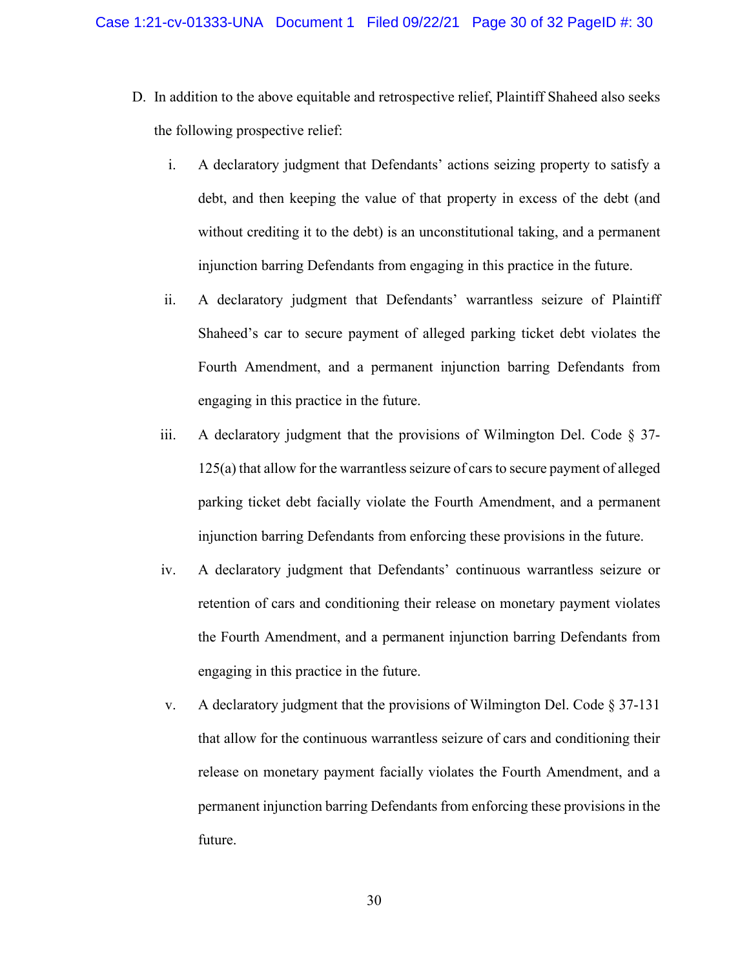- D. In addition to the above equitable and retrospective relief, Plaintiff Shaheed also seeks the following prospective relief:
	- i. A declaratory judgment that Defendants' actions seizing property to satisfy a debt, and then keeping the value of that property in excess of the debt (and without crediting it to the debt) is an unconstitutional taking, and a permanent injunction barring Defendants from engaging in this practice in the future.
	- ii. A declaratory judgment that Defendants' warrantless seizure of Plaintiff Shaheed's car to secure payment of alleged parking ticket debt violates the Fourth Amendment, and a permanent injunction barring Defendants from engaging in this practice in the future.
	- iii. A declaratory judgment that the provisions of Wilmington Del. Code  $\S 37$ -125(a) that allow for the warrantless seizure of cars to secure payment of alleged parking ticket debt facially violate the Fourth Amendment, and a permanent injunction barring Defendants from enforcing these provisions in the future.
	- iv. A declaratory judgment that Defendants' continuous warrantless seizure or retention of cars and conditioning their release on monetary payment violates the Fourth Amendment, and a permanent injunction barring Defendants from engaging in this practice in the future.
	- v. A declaratory judgment that the provisions of Wilmington Del. Code § 37-131 that allow for the continuous warrantless seizure of cars and conditioning their release on monetary payment facially violates the Fourth Amendment, and a permanent injunction barring Defendants from enforcing these provisions in the future.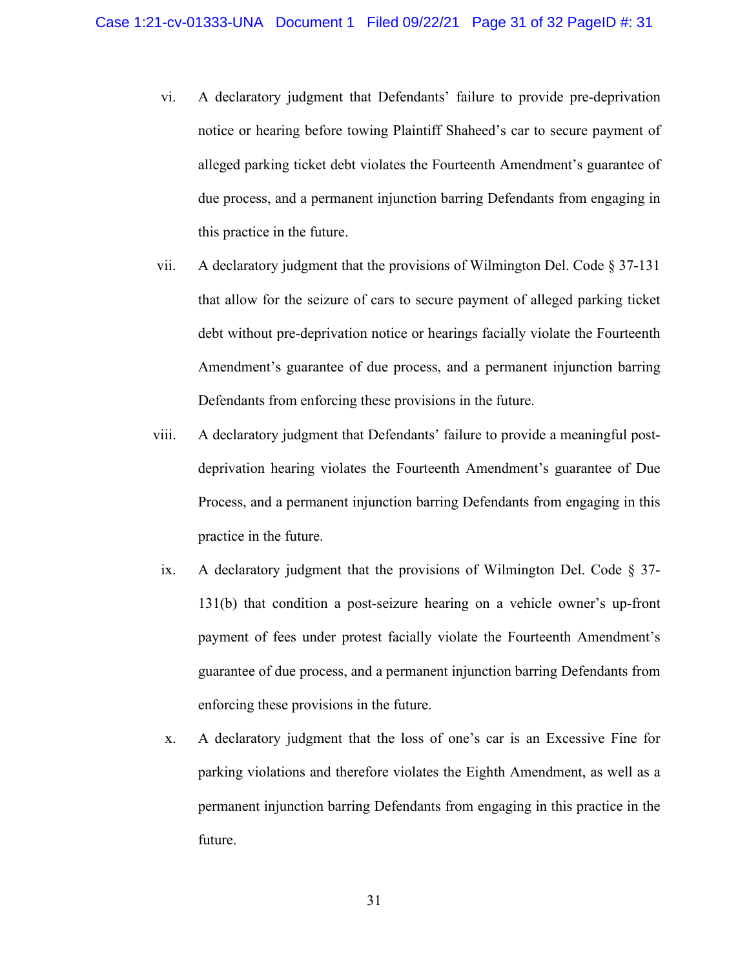- vi. A declaratory judgment that Defendants' failure to provide pre-deprivation notice or hearing before towing Plaintiff Shaheed's car to secure payment of alleged parking ticket debt violates the Fourteenth Amendment's guarantee of due process, and a permanent injunction barring Defendants from engaging in this practice in the future.
- vii. A declaratory judgment that the provisions of Wilmington Del. Code § 37-131 that allow for the seizure of cars to secure payment of alleged parking ticket debt without pre-deprivation notice or hearings facially violate the Fourteenth Amendment's guarantee of due process, and a permanent injunction barring Defendants from enforcing these provisions in the future.
- viii. A declaratory judgment that Defendants' failure to provide a meaningful postdeprivation hearing violates the Fourteenth Amendment's guarantee of Due Process, and a permanent injunction barring Defendants from engaging in this practice in the future.
- ix. A declaratory judgment that the provisions of Wilmington Del. Code § 37- 131(b) that condition a post-seizure hearing on a vehicle owner's up-front payment of fees under protest facially violate the Fourteenth Amendment's guarantee of due process, and a permanent injunction barring Defendants from enforcing these provisions in the future.
- x. A declaratory judgment that the loss of one's car is an Excessive Fine for parking violations and therefore violates the Eighth Amendment, as well as a permanent injunction barring Defendants from engaging in this practice in the future.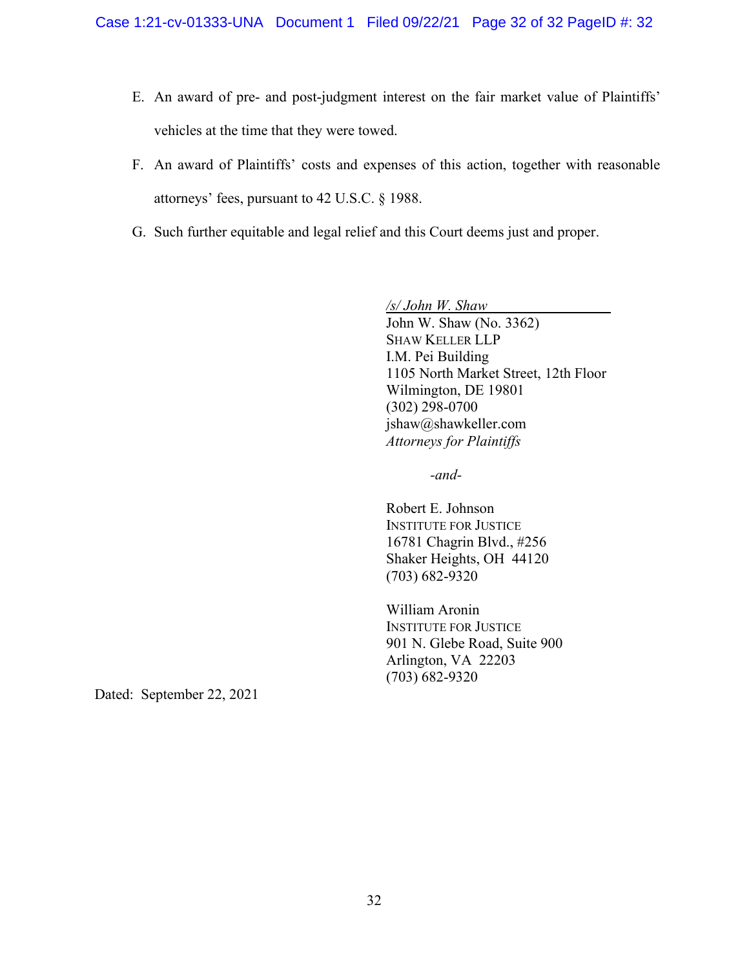- E. An award of pre- and post-judgment interest on the fair market value of Plaintiffs' vehicles at the time that they were towed.
- F. An award of Plaintiffs' costs and expenses of this action, together with reasonable attorneys' fees, pursuant to 42 U.S.C. § 1988.
- G. Such further equitable and legal relief and this Court deems just and proper.

*/s/ John W. Shaw* John W. Shaw (No. 3362) SHAW KELLER LLP I.M. Pei Building 1105 North Market Street, 12th Floor Wilmington, DE 19801 (302) 298-0700 jshaw@shawkeller.com *Attorneys for Plaintiffs*

*-and-*

Robert E. Johnson INSTITUTE FOR JUSTICE 16781 Chagrin Blvd., #256 Shaker Heights, OH 44120 (703) 682-9320

William Aronin INSTITUTE FOR JUSTICE 901 N. Glebe Road, Suite 900 Arlington, VA 22203 (703) 682-9320

Dated: September 22, 2021